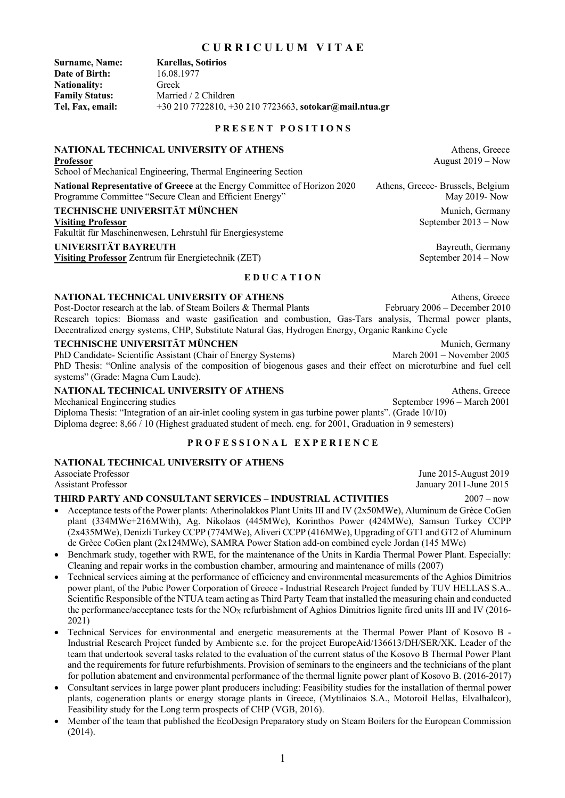# 1

# **C U R R I C U L U M V I T A E**

**Surname, Name: Karellas, Sotirios Date of Birth:** 16.08.1977 **Nationality:** Greek **Family Status:** Married / 2 Children **Tel, Fax, email:** +30 210 7722810, +30 210 7723663, **sotokar@mail.ntua.gr**

**P R E S E N T P O S I T I O N S** 

# **NATIONAL TECHNICAL UNIVERSITY OF ATHENS Athens** Athens, Greece

# School of Mechanical Engineering, Thermal Engineering Section

**National Representative of Greece** at the Energy Committee of Horizon 2020Athens, Greece- Brussels, Belgium Programme Committee "Secure Clean and Efficient Energy" May 2019- Now May 2019- Now

#### **TECHNISCHE UNIVERSITÄT MÜNCHEN Munich, Germany** Munich, Germany

Fakultät für Maschinenwesen, Lehrstuhl für Energiesysteme

#### **UNIVERSITÄT BAYREUTH Bayreuth, Germany**

**Visiting Professor** Zentrum für Energietechnik (ZET) September 2014 – Now

# **E D U C A T I O N**

**NATIONAL TECHNICAL UNIVERSITY OF ATHENS** Athens, Greece Post-Doctor research at the lab. of Steam Boilers & Thermal Plants February 2006 – December 2010 Post-Doctor research at the lab. of Steam Boilers & Thermal Plants Research topics: Biomass and waste gasification and combustion, Gas-Tars analysis, Thermal power plants, Decentralized energy systems, CHP, Substitute Natural Gas, Hydrogen Energy, Organic Rankine Cycle

**TECHNISCHE UNIVERSITÄT MÜNCHEN** Munich, Germany<br>
PhD Candidate- Scientific Assistant (Chair of Energy Systems) March 2001 – November 2005 PhD Candidate- Scientific Assistant (Chair of Energy Systems) PhD Thesis: "Online analysis of the composition of biogenous gases and their effect on microturbine and fuel cell systems" (Grade: Magna Cum Laude).

# **NATIONAL TECHNICAL UNIVERSITY OF ATHENS Athens, Greece Athens, Greece**

Mechanical Engineering studies September 1996 – March 2001

Diploma Thesis: "Integration of an air-inlet cooling system in gas turbine power plants". (Grade 10/10) Diploma degree: 8,66 / 10 (Highest graduated student of mech. eng. for 2001, Graduation in 9 semesters)

# **P R O F E S S I O N A L E X P E R I E N C E**

# **NATIONAL TECHNICAL UNIVERSITY OF ATHENS**

Associate Professor June 2015-August 2019 Assistant Professor January 2011-June 2015

# **THIRD PARTY AND CONSULTANT SERVICES – INDUSTRIAL ACTIVITIES** 2007 – now

- Acceptance tests of the Power plants: Atherinolakkos Plant Units III and IV (2x50MWe), Aluminum de Grèce CoGen plant (334MWe+216MWth), Ag. Nikolaos (445MWe), Korinthos Power (424MWe), Samsun Turkey CCPP (2x435MWe), Denizli Turkey CCPP (774MWe), Aliveri CCPP (416MWe), Upgrading of GT1 and GT2 of Aluminum de Grèce CoGen plant (2x124MWe), SAMRA Power Station add-on combined cycle Jordan (145 MWe)
- Benchmark study, together with RWE, for the maintenance of the Units in Kardia Thermal Power Plant. Especially: Cleaning and repair works in the combustion chamber, armouring and maintenance of mills (2007)
- Technical services aiming at the performance of efficiency and environmental measurements of the Aghios Dimitrios power plant, of the Pubic Power Corporation of Greece - Industrial Research Project funded by TUV HELLAS S.A.. Scientific Responsible of the NTUA team acting as Third Party Team that installed the measuring chain and conducted the performance/acceptance tests for the NO<sub>X</sub> refurbishment of Aghios Dimitrios lignite fired units III and IV (2016-2021)
- Technical Services for environmental and energetic measurements at the Thermal Power Plant of Kosovo B Industrial Research Project funded by Ambiente s.c. for the project EuropeAid/136613/DH/SER/XK. Leader of the team that undertook several tasks related to the evaluation of the current status of the Kosovo B Thermal Power Plant and the requirements for future refurbishments. Provision of seminars to the engineers and the technicians of the plant for pollution abatement and environmental performance of the thermal lignite power plant of Kosovo B. (2016-2017)
- Consultant services in large power plant producers including: Feasibility studies for the installation of thermal power plants, cogeneration plants or energy storage plants in Greece, (Mytilinaios S.A., Motoroil Hellas, Elvalhalcor), Feasibility study for the Long term prospects of CHP (VGB, 2016).
- Member of the team that published the EcoDesign Preparatory study on Steam Boilers for the European Commission (2014).

**Professor** August 2019 – Now

**Visiting Professor** September 2013 – Now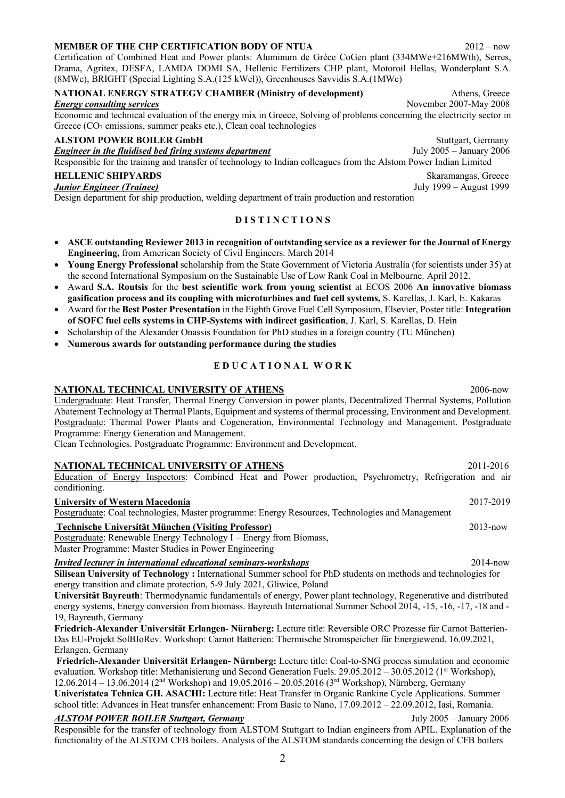# **MEMBER OF THE CHP CERTIFICATION BODY OF NTUA** 2012 – now

Certification of Combined Heat and Power plants: Aluminum de Grèce CoGen plant (334MWe+216MWth), Serres, Drama, Agritex, DESFA, LAMDA DOMI SA, Hellenic Fertilizers CHP plant, Motoroil Hellas, Wonderplant S.A. (8MWe), BRIGHT (Special Lighting S.A.(125 kWel)), Greenhouses Savvidis S.A.(1MWe)

### **NATIONAL ENERGY STRATEGY CHAMBER (Ministry of development)** Athens, Greece *Energy consulting services* November 2007-May 2008

Economic and technical evaluation of the energy mix in Greece, Solving of problems concerning the electricity sector in Greece (CO<sub>2</sub> emissions, summer peaks etc.), Clean coal technologies

# **ALSTOM POWER BOILER GmbH** Stuttgart, Germany

*Engineer in the fluidised bed firing systems department* July 2005 – January 2006

Responsible for the training and transfer of technology to Indian colleagues from the Alstom Power Indian Limited

Design department for ship production, welding department of train production and restoration

# **D I S T I N C T I O N S**

- **ASCE outstanding Reviewer 2013 in recognition of outstanding service as a reviewer for the Journal of Energy Engineering,** from American Society of Civil Engineers. March 2014
- **Young Energy Professional** scholarship from the State Government of Victoria Australia (for scientists under 35) at the second International Symposium on the Sustainable Use of Low Rank Coal in Melbourne. April 2012.
- Award **S.A. Routsis** for the **best scientific work from young scientist** at ECOS 2006 **An innovative biomass gasification process and its coupling with microturbines and fuel cell systems,** S. Karellas, J. Karl, E. Kakaras
- Award for the **Best Poster Presentation** in the Eighth Grove Fuel Cell Symposium, Elsevier, Poster title: **Integration of SOFC fuel cells systems in CHP-Systems with indirect gasification**, J. Karl, S. Karellas, D. Hein
- Scholarship of the Alexander Onassis Foundation for PhD studies in a foreign country (TU München)
- **Numerous awards for outstanding performance during the studies**

# **E D U C A T I O N A L W O R K**

#### **NATIONAL TECHNICAL UNIVERSITY OF ATHENS** 2006-now

Undergraduate: Heat Transfer, Thermal Energy Conversion in power plants, Decentralized Thermal Systems, Pollution Abatement Technology at Thermal Plants, Equipment and systems of thermal processing, Environment and Development. Postgraduate: Thermal Power Plants and Cogeneration, Environmental Technology and Management. Postgraduate Programme: Energy Generation and Management.

Clean Technologies. Postgraduate Programme: Environment and Development.

#### **NATIONAL TECHNICAL UNIVERSITY OF ATHENS** 2011-2016

# Education of Energy Inspectors: Combined Heat and Power production, Psychrometry, Refrigeration and air conditioning.

**University of Western Macedonia**2017-2019

Postgraduate: Coal technologies, Master programme: Energy Resources, Technologies and Management

# **Technische Universität München (Visiting Professor)**2013-now

Postgraduate: Renewable Energy Technology I – Energy from Biomass,

Master Programme: Master Studies in Power Engineering

#### *Invited lecturer in international educational seminars-workshops*2014-now

**Silisean University of Technology :** International Summer school for PhD students on methods and technologies for energy transition and climate protection, 5-9 July 2021, Gliwice, Poland

**Universität Bayreuth**: Thermodynamic fundamentals of energy, Power plant technology, Regenerative and distributed energy systems, Energy conversion from biomass. Bayreuth International Summer School 2014, -15, -16, -17, -18 and - 19, Bayreuth, Germany

**Friedrich-Alexander Universität Erlangen- Nürnberg:** Lecture title: Reversible ORC Prozesse für Carnot Batterien-Das EU-Projekt SolBIoRev. Workshop: Carnot Batterien: Thermische Stromspeicher für Energiewend. 16.09.2021, Erlangen, Germany

**Friedrich-Alexander Universität Erlangen- Nürnberg:** Lecture title: Coal-to-SNG process simulation and economic evaluation. Workshop title: Methanisierung und Second Generation Fuels. 29.05.2012 – 30.05.2012 (1<sup>st</sup> Workshop), 12.06.2014 – 13.06.2014 (2nd Workshop) and 19.05.2016 – 20.05.2016 (3rd Workshop), Nürnberg, Germany

**Univeristatea Tehnica GH. ASACHI:** Lecture title: Heat Transfer in Organic Rankine Cycle Applications. Summer school title: Advances in Heat transfer enhancement: From Basic to Nano, 17.09.2012 – 22.09.2012, Iasi, Romania.

#### *ALSTOM POWER BOILER Stuttgart, Germany* July 2005 – January 2006 Responsible for the transfer of technology from ALSTOM Stuttgart to Indian engineers from APIL. Explanation of the functionality of the ALSTOM CFB boilers. Analysis of the ALSTOM standards concerning the design of CFB boilers

**HELLENIC SHIPYARDS** Skaramangas, Greece *Junior Engineer (Trainee)* July 1999 – August 1999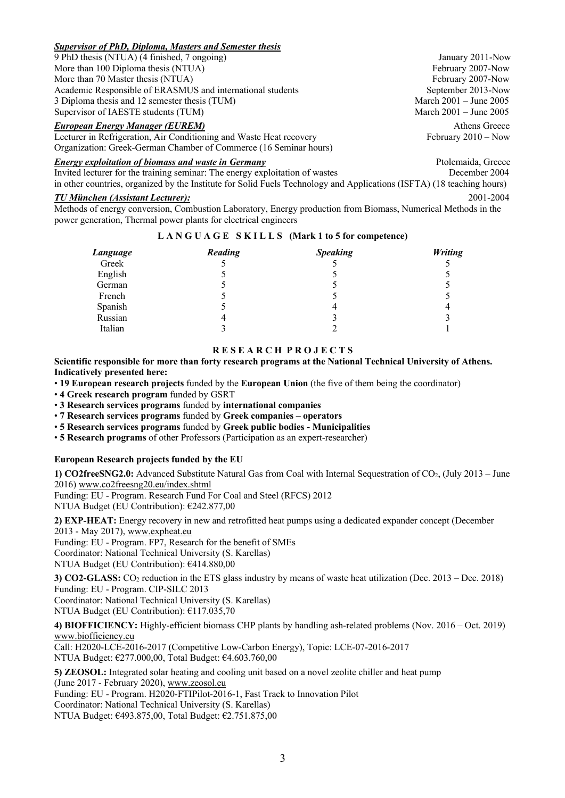# *Supervisor of PhD, Diploma, Masters and Semester thesis*

9 PhD thesis (NTUA) (4 finished, 7 ongoing) January 2011-Now More than 100 Diploma thesis (NTUA) February 2007-Now February 2007-Now More than 70 Master thesis (NTUA) February 2007-Now Academic Responsible of ERASMUS and international students September 2013-Now 3 Diploma thesis and 12 semester thesis (TUM) March 2001 – June 2005 Supervisor of IAESTE students (TUM) March 2001 – June 2005

# *European Energy Manager (EUREM)* Athens Greece

Lecturer in Refrigeration, Air Conditioning and Waste Heat recovery February 2010 – Now Organization: Greek-German Chamber of Commerce (16 Seminar hours)

# *Energy exploitation of biomass and waste in Germany Ptolemaida, Greece**Ptolemaida, Greece*

Invited lecturer for the training seminar: The energy exploitation of wastes December 2004 in other countries, organized by the Institute for Solid Fuels Technology and Applications (ISFTA) (18 teaching hours)

# *TU München (Assistant Lecturer):* 2001-2004

Methods of energy conversion, Combustion Laboratory, Energy production from Biomass, Numerical Methods in the power generation, Thermal power plants for electrical engineers

# **L A N G U A G E S K I L L S (Mark 1 to 5 for competence)**

| Language | Reading | <b>Speaking</b> | <b>Writing</b> |
|----------|---------|-----------------|----------------|
| Greek    |         |                 |                |
| English  |         |                 |                |
| German   |         |                 |                |
| French   |         |                 |                |
| Spanish  |         | 4               |                |
| Russian  |         |                 |                |
| Italian  |         |                 |                |

# **R E S E A R C H P R O J E C T S**

**Scientific responsible for more than forty research programs at the National Technical University of Athens. Indicatively presented here:**

• **19 European research projects** funded by the **European Union** (the five of them being the coordinator)

• **4 Greek research program** funded by GSRT

• **3 Research services programs** funded by **international companies**

• **7 Research services programs** funded by **Greek companies – operators**

• **5 Research services programs** funded by **Greek public bodies - Municipalities**

• **5 Research programs** of other Professors (Participation as an expert-researcher)

# **European Research projects funded by the EU**

**1) CO2freeSNG2.0:** Advanced Substitute Natural Gas from Coal with Internal Sequestration of CO2, (July 2013 – June 2016) www.co2freesng20.eu/index.shtml

Funding: EU - Program. Research Fund For Coal and Steel (RFCS) 2012

NTUA Budget (EU Contribution): €242.877,00

**2) EXP-HEAT:** Energy recovery in new and retrofitted heat pumps using a dedicated expander concept (December 2013 - May 2017), www.expheat.eu

Funding: EU - Program. FP7, Research for the benefit of SMEs Coordinator: National Technical University (S. Karellas) NTUA Budget (EU Contribution): €414.880,00

**3) CO2-GLASS:** CO2 reduction in the ETS glass industry by means of waste heat utilization (Dec. 2013 – Dec. 2018) Funding: EU - Program. CIP-SILC 2013 Coordinator: National Technical University (S. Karellas)

NTUA Budget (EU Contribution): €117.035,70

**4) BIOFFICIENCY:** Highly-efficient biomass CHP plants by handling ash-related problems (Nov. 2016 – Oct. 2019) www.biofficiency.eu

Call: H2020-LCE-2016-2017 (Competitive Low-Carbon Energy), Topic: LCE-07-2016-2017 NTUA Budget: €277.000,00, Total Budget: €4.603.760,00

**5) ZEOSOL:** Integrated solar heating and cooling unit based on a novel zeolite chiller and heat pump (June 2017 - February 2020), www.zeosol.eu

Funding: EU - Program. H2020-FTIPilot-2016-1, Fast Track to Innovation Pilot

Coordinator: National Technical University (S. Karellas)

NTUA Budget: €493.875,00, Total Budget: €2.751.875,00

3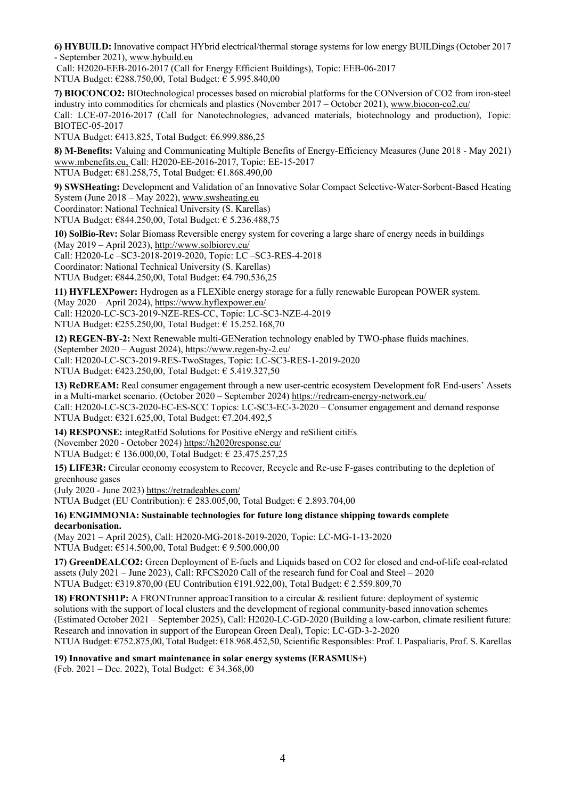**6) HYBUILD:** Innovative compact HYbrid electrical/thermal storage systems for low energy BUILDings (October 2017 - September 2021), www.hybuild.eu

Call: H2020-EEB-2016-2017 (Call for Energy Efficient Buildings), Topic: EEB-06-2017 NTUA Budget: €288.750,00, Total Budget: € 5.995.840,00

**7) BIOCONCO2:** BIOtechnological processes based on microbial platforms for the CONversion of CO2 from iron-steel industry into commodities for chemicals and plastics (November 2017 – October 2021), www.biocon-co2.eu/

Call: LCE-07-2016-2017 (Call for Nanotechnologies, advanced materials, biotechnology and production), Topic: BIOTEC-05-2017

NTUA Budget: €413.825, Total Budget: €6.999.886,25

**8) M-Benefits:** Valuing and Communicating Multiple Benefits of Energy-Efficiency Measures (June 2018 - May 2021) www.mbenefits.eu, Call: H2020-EE-2016-2017, Topic: EE-15-2017 NTUA Budget: €81.258,75, Total Budget: €1.868.490,00

**9) SWSHeating:** Development and Validation of an Innovative Solar Compact Selective-Water-Sorbent-Based Heating System (June 2018 – May 2022), www.swsheating.eu Coordinator: National Technical University (S. Karellas)

NTUA Budget: €844.250,00, Total Budget: € 5.236.488,75

**10) SolBio-Rev:** Solar Biomass Reversible energy system for covering a large share of energy needs in buildings (May 2019 – April 2023), http://www.solbiorev.eu/ Call: H2020-Lc –SC3-2018-2019-2020, Topic: LC –SC3-RES-4-2018

Coordinator: National Technical University (S. Karellas)

NTUA Budget: €844.250,00, Total Budget: €4.790.536,25

**11) HYFLEXPower:** Hydrogen as a FLEXible energy storage for a fully renewable European POWER system. (May 2020 – April 2024), https://www.hyflexpower.eu/ Call: H2020-LC-SC3-2019-NZE-RES-CC, Topic: LC-SC3-NZE-4-2019 NTUA Budget: €255.250,00, Total Budget: € 15.252.168,70

**12) REGEN-BY-2:** Next Renewable multi-GENeration technology enabled by TWO-phase fluids machines. (September 2020 – August 2024), https://www.regen-by-2.eu/ Call: H2020-LC-SC3-2019-RES-TwoStages, Topic: LC-SC3-RES-1-2019-2020

NTUA Budget: €423.250,00, Total Budget: € 5.419.327,50

**13) ReDREAM:** Real consumer engagement through a new user-centric ecosystem Development foR End-users' Assets in a Multi-market scenario. (October 2020 – September 2024) https://redream-energy-network.eu/

Call: H2020-LC-SC3-2020-EC-ES-SCC Topics: LC-SC3-EC-3-2020 – Consumer engagement and demand response NTUA Budget: €321.625,00, Total Budget: €7.204.492,5

**14) RESPONSE:** integRatEd Solutions for Positive eNergy and reSilient citiEs (November 2020 - October 2024) https://h2020response.eu/ NTUA Budget: € 136.000,00, Total Budget: € 23.475.257,25

**15) LIFE3R:** Circular economy ecosystem to Recover, Recycle and Re-use F-gases contributing to the depletion of greenhouse gases

(July 2020 - June 2023) https://retradeables.com/

NTUA Budget (EU Contribution): € 283.005,00, Total Budget: € 2.893.704,00

**16) ENGIMMONIA: Sustainable technologies for future long distance shipping towards complete decarbonisation.**

(May 2021 – April 2025), Call: H2020-MG-2018-2019-2020, Topic: LC-MG-1-13-2020 NTUA Budget: €514.500,00, Total Budget: € 9.500.000,00

**17) GreenDEALCO2:** Green Deployment of E-fuels and Liquids based on CO2 for closed and end-of-life coal-related assets (July 2021 – June 2023), Call: RFCS2020 Call of the research fund for Coal and Steel – 2020 NTUA Budget: €319.870,00 (EU Contribution €191.922,00), Total Budget: € 2.559.809,70

**18) FRONTSH1P:** A FRONTrunner approacTransition to a circular & resilient future: deployment of systemic solutions with the support of local clusters and the development of regional community-based innovation schemes (Estimated October 2021 – September 2025), Call: H2020-LC-GD-2020 (Building a low-carbon, climate resilient future: Research and innovation in support of the European Green Deal), Topic: LC-GD-3-2-2020 NTUA Budget: €752.875,00, Total Budget: €18.968.452,50, Scientific Responsibles: Prof. I. Paspaliaris, Prof. S. Karellas

**19) Innovative and smart maintenance in solar energy systems (ERASMUS+)**

(Feb. 2021 – Dec. 2022), Total Budget: € 34.368,00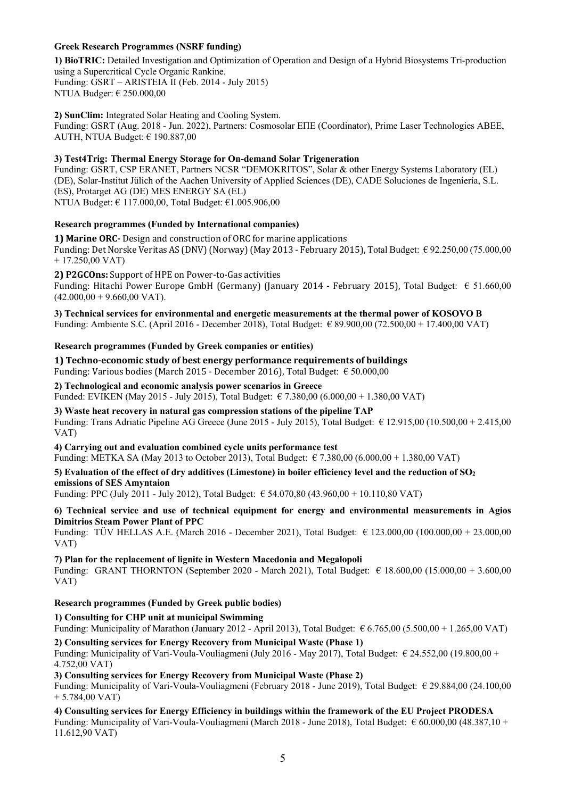# **Greek Research Programmes (NSRF funding)**

**1) BioTRIC:** Detailed Investigation and Optimization of Operation and Design of a Hybrid Biosystems Tri-production using a Supercritical Cycle Organic Rankine. Funding: GSRT – ARISTEIA II (Feb. 2014 - July 2015) NTUA Budger: € 250.000,00

**2) SunClim:** Integrated Solar Heating and Cooling System. Funding: GSRT (Aug. 2018 - Jun. 2022), Partners: Cosmosolar ΕΠΕ (Coordinator), Prime Laser Technologies ΑΒΕΕ, AUTH, NTUA Budget: € 190.887,00

#### **3) Test4Trig: Thermal Energy Storage for On-demand Solar Trigeneration**

Funding: GSRT, CSP ERANET, Partners NCSR "DEMOKRITOS", Solar & other Energy Systems Laboratory (EL) (DE), Solar-Institut Jülich of the Aachen University of Applied Sciences (DE), CADE Soluciones de Ingeniería, S.L. (ES), Protarget AG (DE) MES ENERGY SA (EL) NTUA Budget: € 117.000,00, Total Budget: €1.005.906,00

# **Research programmes (Funded by International companies)**

**1) Marine ORC-** Design and construction of ORC for marine applications Funding: Det Norske Veritas AS (DNV) (Norway) (May 2013 - February 2015), Total Budget:  $\epsilon$  92.250,00 (75.000,00 + 17.250,00 VAT)

#### 2) **P2GCOns:** Support of HPE on Power-to-Gas activities

Funding: Hitachi Power Europe GmbH (Germany) (January 2014 - February 2015), Total Budget:  $\epsilon$  51.660,00  $(42.000,00 + 9.660,00 \text{ VAT})$ .

**3) Technical services for environmental and energetic measurements at the thermal power of KOSOVO B**  Funding: Ambiente S.C. (April 2016 - December 2018), Total Budget: € 89.900,00 (72.500,00 + 17.400,00 VAT)

## **Research programmes (Funded by Greek companies or entities)**

#### **1)** Techno-economic study of best energy performance requirements of buildings

Funding: Various bodies (March 2015 - December 2016), Total Budget:  $\epsilon$  50.000,00

#### **2) Technological and economic analysis power scenarios in Greece**

Funded: EVIKEN (May 2015 - July 2015), Total Budget: € 7.380,00 (6.000,00 + 1.380,00 VAT)

#### **3) Waste heat recovery in natural gas compression stations of the pipeline TAP**

Funding: Trans Adriatic Pipeline AG Greece (June 2015 - July 2015), Total Budget:  $\epsilon$  12.915,00 (10.500,00 + 2.415,00) VAT)

**4) Carrying out and evaluation combined cycle units performance test**

Funding: METKA SA (May 2013 to October 2013), Total Budget: € 7.380,00 (6.000,00 + 1.380,00 VAT)

**5) Evaluation of the effect of dry additives (Limestone) in boiler efficiency level and the reduction of SO2 emissions of SES Amyntaion**

Funding: PPC (July 2011 - July 2012), Total Budget: € 54.070,80 (43.960,00 + 10.110,80 VAT)

#### **6) Technical service and use of technical equipment for energy and environmental measurements in Agios Dimitrios Steam Power Plant of PPC**

Funding: ΤÜV HELLAS A.E. (March 2016 - December 2021), Total Budget: € 123.000,00 (100.000,00 + 23.000,00 VAT)

**7) Plan for the replacement of lignite in Western Macedonia and Megalopoli**  Funding: GRANT THORNTON (September 2020 - March 2021), Total Budget: € 18.600,00 (15.000,00 + 3.600,00 VAT)

#### **Research programmes (Funded by Greek public bodies)**

#### **1) Consulting for CHP unit at municipal Swimming**

Funding: Municipality of Marathon (January 2012 - April 2013), Total Budget:  $\epsilon$  6.765,00 (5.500,00 + 1.265,00 VAT)

# **2) Consulting services for Energy Recovery from Municipal Waste (Phase 1)**

Funding: Municipality of Vari-Voula-Vouliagmeni (July 2016 - May 2017), Total Budget: € 24.552,00 (19.800,00 + 4.752,00 VAT)

#### **3) Consulting services for Energy Recovery from Municipal Waste (Phase 2)**

Funding: Municipality of Vari-Voula-Vouliagmeni (February 2018 - June 2019), Total Budget: € 29.884,00 (24.100,00 + 5.784,00 VAT)

**4) Consulting services for Energy Efficiency in buildings within the framework of the EU Project PRODESA** Funding: Municipality of Vari-Voula-Vouliagmeni (March 2018 - June 2018), Total Budget: € 60.000,00 (48.387,10 + 11.612,90 VAT)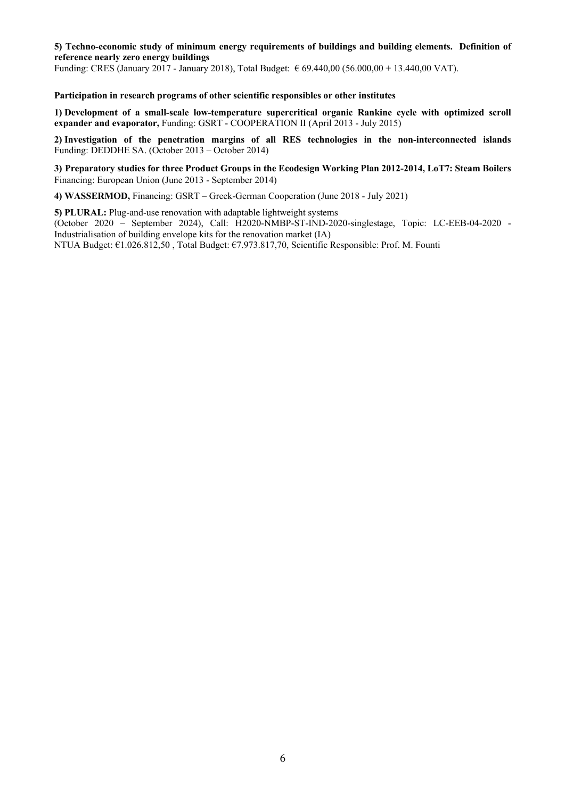# **5) Techno-economic study of minimum energy requirements of buildings and building elements. Definition of reference nearly zero energy buildings**

Funding: CRES (January 2017 - January 2018), Total Budget: € 69.440,00 (56.000,00 + 13.440,00 VAT).

#### **Participation in research programs of other scientific responsibles or other institutes**

**1) Development of a small-scale low-temperature supercritical organic Rankine cycle with optimized scroll expander and evaporator, Funding: GSRT - COOPERATION II (April 2013 - July 2015)** 

**2) Investigation of the penetration margins of all RES technologies in the non-interconnected islands** Funding: DEDDHE SA. (October 2013 – October 2014)

**3) Preparatory studies for three Product Groups in the Ecodesign Working Plan 2012-2014, LoT7: Steam Boilers** Financing: European Union (June 2013 - September 2014)

**4) WASSERMOD,** Financing: GSRT – Greek-German Cooperation (June 2018 - July 2021)

**5) PLURAL:** Plug-and-use renovation with adaptable lightweight systems (October 2020 – September 2024), Call: H2020-NMBP-ST-IND-2020-singlestage, Topic: LC-EEB-04-2020 - Industrialisation of building envelope kits for the renovation market (IA) NTUA Budget: €1.026.812,50 , Total Budget: €7.973.817,70, Scientific Responsible: Prof. M. Founti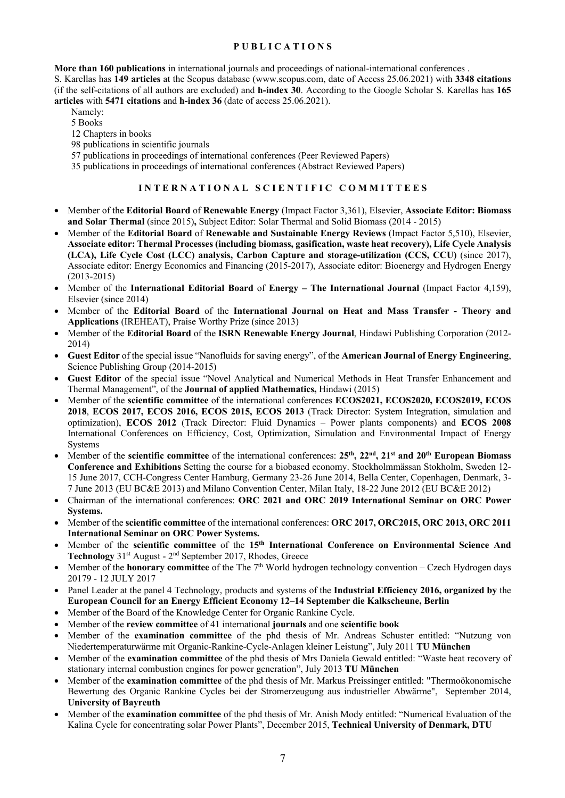# **P U B L I C A T I O N S**

**More than 160 publications** in international journals and proceedings of national-international conferences .

S. Karellas has **149 articles** at the Scopus database (www.scopus.com, date of Access 25.06.2021) with **3348 citations**  (if the self-citations of all authors are excluded) and **h-index 30**. According to the Google Scholar S. Karellas has **165 articles** with **5471 citations** and **h-index 36** (date of access 25.06.2021).

- Namely: 5 Books 12 Chapters in books
- 98 publications in scientific journals

57 publications in proceedings of international conferences (Peer Reviewed Papers)

35 publications in proceedings of international conferences (Abstract Reviewed Papers)

# **I N T E R N A T I O N A L S C I E N T I F I C C O M M I T T E E S**

- Member of the **Editorial Board** of **Renewable Energy** (Impact Factor 3,361), Elsevier, **Associate Editor: Biomass and Solar Thermal** (since 2015)**,** Subject Editor: Solar Thermal and Solid Biomass (2014 - 2015)
- Member of the **Editorial Board** of **Renewable and Sustainable Energy Reviews** (Impact Factor 5,510), Elsevier, **Associate editor: Thermal Processes (including biomass, gasification, waste heat recovery), Life Cycle Analysis (LCA), Life Cycle Cost (LCC) analysis, Carbon Capture and storage-utilization (CCS, CCU)** (since 2017), Associate editor: Energy Economics and Financing (2015-2017), Associate editor: Bioenergy and Hydrogen Energy (2013-2015)
- Member of the **International Editorial Board** of **Energy – The International Journal** (Impact Factor 4,159), Elsevier (since 2014)
- Member of the **Editorial Board** of the **International Journal on Heat and Mass Transfer - Theory and Applications** (IREHEAT), Praise Worthy Prize (since 2013)
- Member of the **Editorial Board** of the **ISRN Renewable Energy Journal**, Hindawi Publishing Corporation (2012- 2014)
- **Guest Editor** of the special issue "Nanofluids for saving energy", of the **American Journal of Energy Engineering**, Science Publishing Group (2014-2015)
- **Guest Editor** of the special issue "Novel Analytical and Numerical Methods in Heat Transfer Enhancement and Thermal Management", of the **Journal of applied Mathematics,** Hindawi (2015)
- Member of the **scientific committee** of the international conferences **ECOS2021, ECOS2020, ECOS2019, ECOS 2018**, **ECOS 2017, ECOS 2016, ECOS 2015, ECOS 2013** (Track Director: System Integration, simulation and optimization), **ECOS 2012** (Track Director: Fluid Dynamics – Power plants components) and **ECOS 2008** International Conferences on Efficiency, Cost, Optimization, Simulation and Environmental Impact of Energy **Systems**
- Member of the **scientific committee** of the international conferences: **25th, 22nd, 21st and 20th European Biomass Conference and Exhibitions** Setting the course for a biobased economy. Stockholmmässan Stokholm, Sweden 12- 15 June 2017, CCH-Congress Center Hamburg, Germany 23-26 June 2014, Bella Center, Copenhagen, Denmark, 3- 7 June 2013 (EU BC&E 2013) and Milano Convention Center, Milan Italy, 18-22 June 2012 (EU BC&E 2012)
- Chairman of the international conferences: **ORC 2021 and ORC 2019 International Seminar on ORC Power Systems.**
- Member of the **scientific committee** of the international conferences: **ORC 2017, ORC2015, ORC 2013, ORC 2011 International Seminar on ORC Power Systems.**
- Member of the **scientific committee** of the **15th International Conference on Environmental Science And Technology** 31st August - 2nd September 2017, Rhodes, Greece
- Member of the **honorary committee** of the The 7<sup>th</sup> World hydrogen technology convention Czech Hydrogen days 20179 - 12 JULY 2017
- Panel Leader at the panel 4 Technology, products and systems of the **Industrial Efficiency 2016, organized by** the **European Council for an Energy Efficient Economy 12–14 September die Kalkscheune, Berlin**
- Member of the Board of the Knowledge Center for Organic Rankine Cycle.
- Member of the **review committee** of 41 international **journals** and one **scientific book**
- Member of the **examination committee** of the phd thesis of Mr. Andreas Schuster entitled: "Nutzung von Niedertemperaturwärme mit Organic-Rankine-Cycle-Anlagen kleiner Leistung", July 2011 **TU Μünchen**
- Member of the **examination committee** of the phd thesis of Mrs Daniela Gewald entitled: "Waste heat recovery of stationary internal combustion engines for power generation", July 2013 **TU Μünchen**
- Member of the **examination committee** of the phd thesis of Mr. Markus Preissinger entitled: "Thermoökonomische Bewertung des Organic Rankine Cycles bei der Stromerzeugung aus industrieller Abwärme", September 2014, **University of Bayreuth**
- Member of the **examination committee** of the phd thesis of Mr. Anish Mody entitled: "Numerical Evaluation of the Kalina Cycle for concentrating solar Power Plants", December 2015, **Technical University of Denmark, DTU**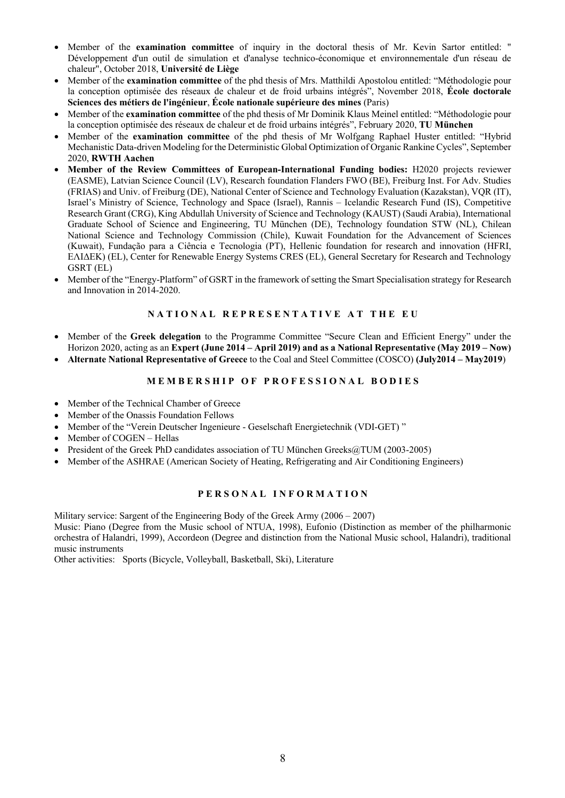- Member of the **examination committee** of inquiry in the doctoral thesis of Mr. Kevin Sartor entitled: " Développement d'un outil de simulation et d'analyse technico-économique et environnementale d'un réseau de chaleur", October 2018, **Université de Liège**
- Member of the **examination committee** of the phd thesis of Mrs. Matthildi Apostolou entitled: "Méthodologie pour la conception optimisée des réseaux de chaleur et de froid urbains intégrés", November 2018, **École doctorale Sciences des métiers de l'ingénieur**, **École nationale supérieure des mines** (Paris)
- Member of the **examination committee** of the phd thesis of Mr Dominik Klaus Meinel entitled: "Méthodologie pour la conception optimisée des réseaux de chaleur et de froid urbains intégrés", February 2020, **TU Μünchen**
- Member of the **examination committee** of the phd thesis of Mr Wolfgang Raphael Huster entitled: "Hybrid Mechanistic Data-driven Modeling for the Deterministic Global Optimization of Organic Rankine Cycles", September 2020, **RWTH Aachen**
- **Member of the Review Committees of European-International Funding bodies:** Η2020 projects reviewer (EASME), Latvian Science Council (LV), Research foundation Flanders FWO (BE), Freiburg Inst. For Adv. Studies (FRIAS) and Univ. of Freiburg (DE), National Center of Science and Technology Evaluation (Kazakstan), VQR (IT), Israel's Ministry of Science, Technology and Space (Israel), Rannis – Icelandic Research Fund (IS), Competitive Research Grant (CRG), King Abdullah University of Science and Technology (KAUST) (Saudi Arabia), International Graduate School of Science and Engineering, TU München (DE), Technology foundation STW (NL), Chilean National Science and Technology Commission (Chile), Kuwait Foundation for the Advancement of Sciences (Kuwait), Fundação para a Ciência e Tecnologia (PT), Hellenic foundation for research and innovation (HFRI, ΕΛΙΔΕΚ) (EL), Center for Renewable Energy Systems CRES (EL), General Secretary for Research and Technology GSRT (EL)
- Member of the "Energy-Platform" of GSRT in the framework of setting the Smart Specialisation strategy for Research and Innovation in 2014-2020.

# **N A T I O N A L R E P R E S E N T A T I V E A T T H E E U**

- Member of the **Greek delegation** to the Programme Committee "Secure Clean and Efficient Energy" under the Horizon 2020, acting as an **Expert (June 2014 – April 2019) and as a National Representative (May 2019 – Now)**
- **Alternate National Representative of Greece** to the Coal and Steel Committee (COSCO) **(July2014 – May2019**)

# **MEMBERSHIP OF PROFESSIONAL BODIES**

- Member of the Technical Chamber of Greece
- Member of the Onassis Foundation Fellows
- Member of the "Verein Deutscher Ingenieure Geselschaft Energietechnik (VDI-GET) "
- Member of COGEN Hellas
- President of the Greek PhD candidates association of TU München Greeks@TUM (2003-2005)
- Member of the ASHRAE (American Society of Heating, Refrigerating and Air Conditioning Engineers)

# **P E R S O N A L I N F O R M A T I O N**

Military service: Sargent of the Engineering Body of the Greek Army (2006 – 2007) Music: Piano (Degree from the Music school of NTUA, 1998), Eufonio (Distinction as member of the philharmonic orchestra of Halandri, 1999), Accordeon (Degree and distinction from the National Music school, Halandri), traditional music instruments

Other activities: Sports (Bicycle, Volleyball, Basketball, Ski), Literature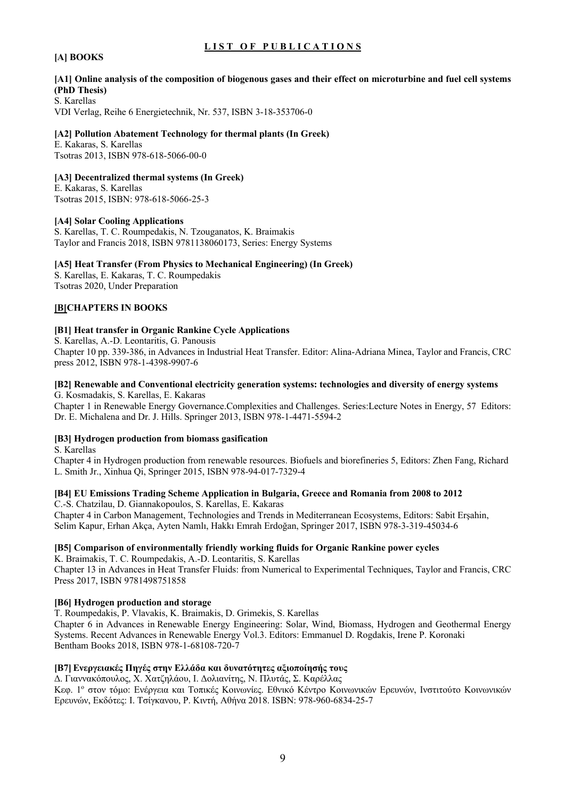# **LIST OF PUBLICATIONS**

# **[A] BOOKS**

# **[A1] Online analysis of the composition of biogenous gases and their effect on microturbine and fuel cell systems (PhD Thesis)**

S. Karellas VDI Verlag, Reihe 6 Energietechnik, Nr. 537, ISBN 3-18-353706-0

# **[A2] Pollution Abatement Technology for thermal plants (In Greek)**

E. Kakaras, S. Karellas Tsotras 2013, ISBN 978-618-5066-00-0

# **[A3] Decentralized thermal systems (In Greek)**

E. Kakaras, S. Karellas Tsotras 2015, ISBN: 978-618-5066-25-3

# **[A4] Solar Cooling Applications**

S. Karellas, T. C. Roumpedakis, N. Tzouganatos, K. Braimakis Taylor and Francis 2018, ISBN 9781138060173, Series: Energy Systems

# **[A5] Heat Transfer (From Physics to Mechanical Engineering) (In Greek)**

S. Karellas, E. Kakaras, T. C. Roumpedakis Tsotras 2020, Under Preparation

# **[B[CHAPTERS IN BOOKS**

#### **[Β1] Heat transfer in Organic Rankine Cycle Applications**

S. Karellas, A.-D. Leontaritis, G. Panousis Chapter 10 pp. 339-386, in Advances in Industrial Heat Transfer. Editor: Alina-Adriana Minea, Taylor and Francis, CRC press 2012, ISBN 978-1-4398-9907-6

#### **[Β2] Renewable and Conventional electricity generation systems: technologies and diversity of energy systems** G. Kosmadakis, S. Karellas, E. Kakaras

Chapter 1 in Renewable Energy Governance.Complexities and Challenges. Series:Lecture Notes in Energy, 57 Editors: Dr. E. Michalena and Dr. J. Hills. Springer 2013, ISBN 978-1-4471-5594-2

# **[Β3] Hydrogen production from biomass gasification**

S. Karellas

Chapter 4 in Hydrogen production from renewable resources. Biofuels and biorefineries 5, Editors: Zhen Fang, Richard L. Smith Jr., Xinhua Qi, Springer 2015, ISBN 978-94-017-7329-4

#### **[Β4] EU Emissions Trading Scheme Application in Bulgaria, Greece and Romania from 2008 to 2012**

C.-S. Chatzilau, D. Giannakopoulos, S. Karellas, E. Kakaras Chapter 4 in Carbon Management, Technologies and Trends in Mediterranean Ecosystems, Editors: Sabit Erşahin, Selim Kapur, Erhan Akça, Ayten Namlı, Hakkı Emrah Erdoğan, Springer 2017, ISBN 978-3-319-45034-6

# **[Β5] Comparison of environmentally friendly working fluids for Organic Rankine power cycles**

K. Braimakis, T. C. Roumpedakis, A.-D. Leontaritis, S. Karellas Chapter 13 in Advances in Heat Transfer Fluids: from Numerical to Experimental Techniques, Taylor and Francis, CRC Press 2017, ISBN 9781498751858

#### **[Β6] Hydrogen production and storage**

T. Roumpedakis, P. Vlavakis, K. Braimakis, D. Grimekis, S. Karellas

Chapter 6 in Advances in Renewable Energy Engineering: Solar, Wind, Biomass, Hydrogen and Geothermal Energy Systems. Recent Advances in Renewable Energy Vol.3. Editors: Emmanuel D. Rogdakis, Irene P. Koronaki Bentham Books 2018, ISBN 978-1-68108-720-7

# **[Β7]Ενεργειακές Πηγές στην Ελλάδα και δυνατότητες αξιοποίησής τους**

Δ. Γιαννακόπουλος, Χ. Χατζηλάου, Ι. Δολιανίτης, Ν. Πλυτάς, Σ. Καρέλλας

Κεφ. 1ο στον τόμο: Ενέργεια και Τοπικές Κοινωνίες. Εθνικό Κέντρο Κοινωνικών Ερευνών, Ινστιτούτο Κοινωνικών Ερευνών, Εκδότες: Ι. Τσίγκανου, Ρ. Κιντή, Αθήνα 2018. ISBN: 978-960-6834-25-7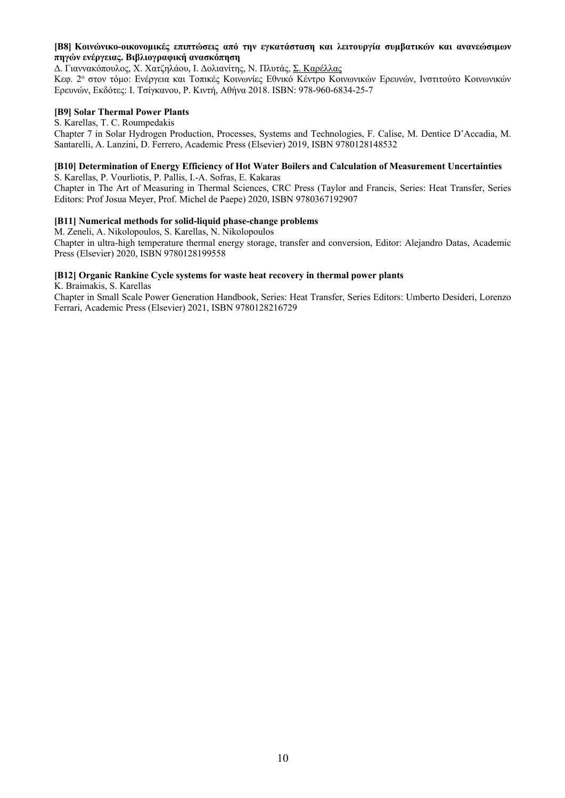#### **[Β8] Κοινώνικο-οικονομικές επιπτώσεις από την εγκατάσταση και λειτουργία συμβατικών και ανανεώσιμων πηγών ενέργειας. Βιβλιογραφική ανασκόπηση**

Δ. Γιαννακόπουλος, Χ. Χατζηλάου, Ι. Δολιανίτης, Ν. Πλυτάς, Σ. Καρέλλας

Κεφ. 2ο στον τόμο: Ενέργεια και Τοπικές Κοινωνίες Εθνικό Κέντρο Κοινωνικών Ερευνών, Ινστιτούτο Κοινωνικών Ερευνών, Εκδότες: Ι. Τσίγκανου, Ρ. Κιντή, Αθήνα 2018. ISBN: 978-960-6834-25-7

#### **[Β9] Solar Thermal Power Plants**

S. Karellas, T. C. Roumpedakis

Chapter 7 in Solar Hydrogen Production, Processes, Systems and Technologies, F. Calise, M. Dentice D'Accadia, M. Santarelli, A. Lanzini, D. Ferrero, Academic Press (Elsevier) 2019, ISBN 9780128148532

# **[Β10] Determination of Energy Efficiency of Hot Water Boilers and Calculation of Measurement Uncertainties**

S. Karellas, P. Vourliotis, P. Pallis, I.-A. Sofras, E. Kakaras Chapter in The Art of Measuring in Thermal Sciences, CRC Press (Taylor and Francis, Series: Heat Transfer, Series Editors: Prof Josua Meyer, Prof. Michel de Paepe) 2020, ISBN 9780367192907

# **[Β11] Numerical methods for solid-liquid phase-change problems**

M. Zeneli, A. Nikolopoulos, S. Karellas, N. Nikolopoulos Chapter in ultra-high temperature thermal energy storage, transfer and conversion, Editor: Alejandro Datas, Academic Press (Elsevier) 2020, ISBN 9780128199558

# **[Β12] Organic Rankine Cycle systems for waste heat recovery in thermal power plants**

K. Braimakis, S. Karellas

Chapter in Small Scale Power Generation Handbook, Series: Heat Transfer, Series Editors: Umberto Desideri, Lorenzo Ferrari, Academic Press (Elsevier) 2021, ISBN 9780128216729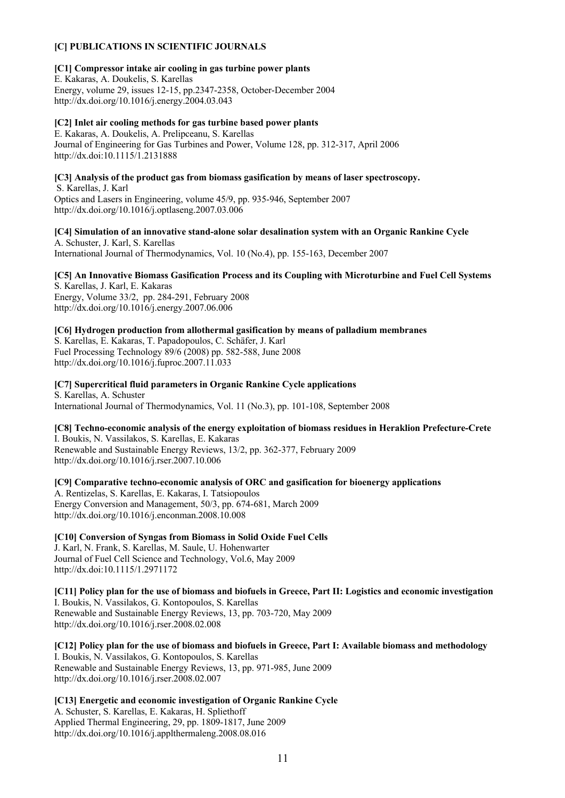# **[C] PUBLICATIONS IN SCIENTIFIC JOURNALS**

#### **[C1] Compressor intake air cooling in gas turbine power plants**

E. Kakaras, A. Doukelis, S. Karellas Energy, volume 29, issues 12-15, pp.2347-2358, October-December 2004 http://dx.doi.org/10.1016/j.energy.2004.03.043

#### **[C2] Inlet air cooling methods for gas turbine based power plants**

E. Kakaras, A. Doukelis, A. Prelipceanu, S. Karellas Journal of Engineering for Gas Turbines and Power, Volume 128, pp. 312-317, April 2006 http://dx.doi:10.1115/1.2131888

#### **[C3] Analysis of the product gas from biomass gasification by means of laser spectroscopy.**

S. Karellas, J. Karl Optics and Lasers in Engineering, volume 45/9, pp. 935-946, September 2007 http://dx.doi.org/10.1016/j.optlaseng.2007.03.006

# **[C4] Simulation of an innovative stand-alone solar desalination system with an Organic Rankine Cycle** A. Schuster, J. Karl, S. Karellas

International Journal of Thermodynamics, Vol. 10 (No.4), pp. 155-163, December 2007

# **[C5] An Innovative Biomass Gasification Process and its Coupling with Microturbine and Fuel Cell Systems**

S. Karellas, J. Karl, E. Kakaras Energy, Volume 33/2, pp. 284-291, February 2008 http://dx.doi.org/10.1016/j.energy.2007.06.006

#### **[C6] Hydrogen production from allothermal gasification by means of palladium membranes**

S. Karellas, E. Kakaras, T. Papadopoulos, C. Schäfer, J. Karl Fuel Processing Technology 89/6 (2008) pp. 582-588, June 2008 http://dx.doi.org/10.1016/j.fuproc.2007.11.033

# **[C7] Supercritical fluid parameters in Organic Rankine Cycle applications**

S. Karellas, A. Schuster International Journal of Thermodynamics, Vol. 11 (No.3), pp. 101-108, September 2008

# **[C8] Techno-economic analysis of the energy exploitation of biomass residues in Heraklion Prefecture-Crete**

I. Boukis, N. Vassilakos, S. Karellas, E. Kakaras Renewable and Sustainable Energy Reviews, 13/2, pp. 362-377, February 2009 http://dx.doi.org/10.1016/j.rser.2007.10.006

#### **[C9] Comparative techno-economic analysis of ORC and gasification for bioenergy applications** A. Rentizelas, S. Karellas, E. Kakaras, I. Tatsiopoulos Energy Conversion and Management, 50/3, pp. 674-681, March 2009 http://dx.doi.org/10.1016/j.enconman.2008.10.008

# **[C10] Conversion of Syngas from Biomass in Solid Oxide Fuel Cells**

J. Karl, N. Frank, S. Karellas, M. Saule, U. Hohenwarter Journal of Fuel Cell Science and Technology, Vol.6, May 2009 http://dx.doi:10.1115/1.2971172

**[C11] Policy plan for the use of biomass and biofuels in Greece, Part II: Logistics and economic investigation** I. Boukis, N. Vassilakos, G. Kontopoulos, S. Karellas Renewable and Sustainable Energy Reviews, 13, pp. 703-720, May 2009 http://dx.doi.org/10.1016/j.rser.2008.02.008

**[C12] Policy plan for the use of biomass and biofuels in Greece, Part I: Available biomass and methodology** I. Boukis, N. Vassilakos, G. Kontopoulos, S. Karellas Renewable and Sustainable Energy Reviews, 13, pp. 971-985, June 2009 http://dx.doi.org/10.1016/j.rser.2008.02.007

#### **[C13] Energetic and economic investigation of Organic Rankine Cycle** A. Schuster, S. Karellas, E. Kakaras, H. Spliethoff Applied Thermal Engineering, 29, pp. 1809-1817, June 2009

http://dx.doi.org/10.1016/j.applthermaleng.2008.08.016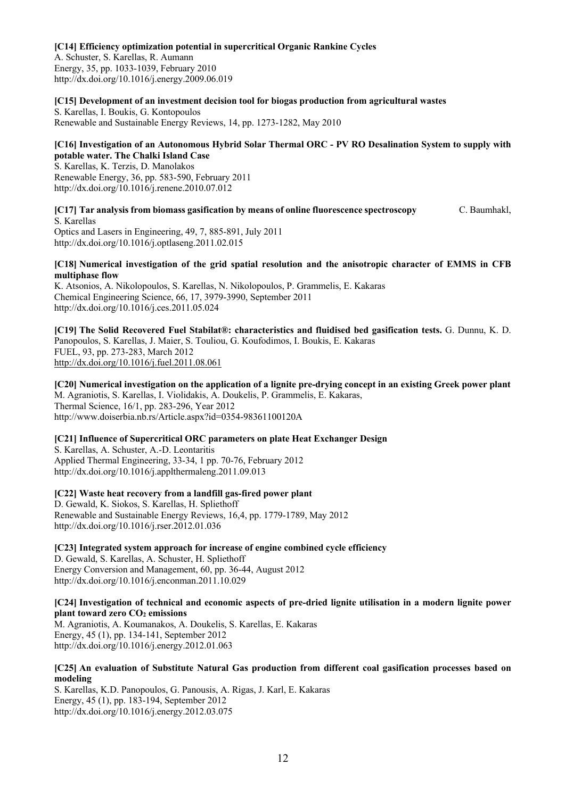#### **[C14] Efficiency optimization potential in supercritical Organic Rankine Cycles**

A. Schuster, S. Karellas, R. Aumann Energy, 35, pp. 1033-1039, February 2010 http://dx.doi.org/10.1016/j.energy.2009.06.019

#### **[C15] Development of an investment decision tool for biogas production from agricultural wastes**

S. Karellas, I. Boukis, G. Kontopoulos Renewable and Sustainable Energy Reviews, 14, pp. 1273-1282, May 2010

#### **[C16] Investigation of an Autonomous Hybrid Solar Thermal ORC - PV RO Desalination System to supply with potable water. The Chalki Island Case**

S. Karellas, K. Terzis, D. Manolakos Renewable Energy, 36, pp. 583-590, February 2011 http://dx.doi.org/10.1016/j.renene.2010.07.012

**[C17] Tar analysis from biomass gasification by means of online fluorescence spectroscopy** C. Baumhakl, S. Karellas

Optics and Lasers in Engineering, 49, 7, 885-891, July 2011 http://dx.doi.org/10.1016/j.optlaseng.2011.02.015

#### **[C18] Numerical investigation of the grid spatial resolution and the anisotropic character of EMMS in CFB multiphase flow**

K. Atsonios, A. Nikolopoulos, S. Karellas, N. Nikolopoulos, P. Grammelis, E. Kakaras Chemical Engineering Science, 66, 17, 3979-3990, September 2011 http://dx.doi.org/10.1016/j.ces.2011.05.024

**[C19] The Solid Recovered Fuel Stabilat®: characteristics and fluidised bed gasification tests.** G. Dunnu, K. D. Panopoulos, S. Karellas, J. Maier, S. Touliou, G. Koufodimos, I. Boukis, E. Kakaras FUEL, 93, pp. 273-283, March 2012 http://dx.doi.org/10.1016/j.fuel.2011.08.061

**[C20] Numerical investigation on the application of a lignite pre-drying concept in an existing Greek power plant** M. Agraniotis, S. Karellas, I. Violidakis, A. Doukelis, P. Grammelis, E. Kakaras, Thermal Science, 16/1, pp. 283-296, Year 2012 http://www.doiserbia.nb.rs/Article.aspx?id=0354-98361100120A

# **[C21] Influence of Supercritical ORC parameters on plate Heat Exchanger Design**

S. Karellas, A. Schuster, A.-D. Leontaritis Applied Thermal Engineering, 33-34, 1 pp. 70-76, February 2012 http://dx.doi.org/10.1016/j.applthermaleng.2011.09.013

#### **[C22] Waste heat recovery from a landfill gas-fired power plant**

D. Gewald, K. Siokos, S. Karellas, H. Spliethoff Renewable and Sustainable Energy Reviews, 16,4, pp. 1779-1789, May 2012 http://dx.doi.org/10.1016/j.rser.2012.01.036

**[C23] Integrated system approach for increase of engine combined cycle efficiency**

D. Gewald, S. Karellas, A. Schuster, H. Spliethoff Energy Conversion and Management, 60, pp. 36-44, August 2012 http://dx.doi.org/10.1016/j.enconman.2011.10.029

# **[C24] Investigation of technical and economic aspects of pre-dried lignite utilisation in a modern lignite power plant toward zero CO2 emissions**

M. Agraniotis, A. Koumanakos, A. Doukelis, S. Karellas, E. Kakaras Energy, 45 (1), pp. 134-141, September 2012 http://dx.doi.org/10.1016/j.energy.2012.01.063

#### **[C25] An evaluation of Substitute Natural Gas production from different coal gasification processes based on modeling**

S. Karellas, K.D. Panopoulos, G. Panousis, A. Rigas, J. Karl, E. Kakaras Energy, 45 (1), pp. 183-194, September 2012 http://dx.doi.org/10.1016/j.energy.2012.03.075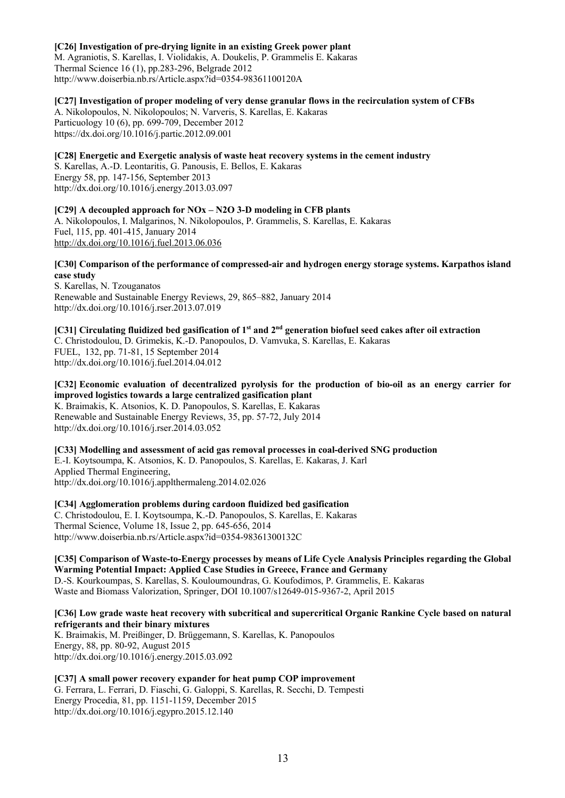#### **[C26] Investigation of pre-drying lignite in an existing Greek power plant**

M. Agraniotis, S. Karellas, I. Violidakis, A. Doukelis, P. Grammelis E. Kakaras Thermal Science 16 (1), pp.283-296, Belgrade 2012 http://www.doiserbia.nb.rs/Article.aspx?id=0354-98361100120A

#### **[C27] Ιnvestigation of proper modeling of very dense granular flows in the recirculation system of CFBs**

Α. Nikolopoulos, N. Nikolopoulos; N. Varveris, S. Karellas, E. Kakaras Particuology 10 (6), pp. 699-709, December 2012 https://dx.doi.org/10.1016/j.partic.2012.09.001

# **[C28] Energetic and Exergetic analysis of waste heat recovery systems in the cement industry**

S. Karellas, A.-D. Leontaritis, G. Panousis, E. Bellos, E. Kakaras Energy 58, pp. 147-156, September 2013 http://dx.doi.org/10.1016/j.energy.2013.03.097

# **[C29] A decoupled approach for NOx – N2O 3-D modeling in CFB plants**

A. Nikolopoulos, I. Malgarinos, N. Nikolopoulos, P. Grammelis, S. Karellas, E. Kakaras Fuel, 115, pp. 401-415, January 2014 http://dx.doi.org/10.1016/j.fuel.2013.06.036

# **[C30] Comparison of the performance of compressed-air and hydrogen energy storage systems. Karpathos island case study**

S. Karellas, N. Tzouganatos Renewable and Sustainable Energy Reviews, 29, 865–882, January 2014 http://dx.doi.org/10.1016/j.rser.2013.07.019

#### **[C31] Circulating fluidized bed gasification of 1st and 2nd generation biofuel seed cakes after oil extraction** C. Christodoulou, D. Grimekis, K.-D. Panopoulos, D. Vamvuka, S. Karellas, E. Kakaras FUEL, 132, pp. 71-81, 15 September 2014 http://dx.doi.org/10.1016/j.fuel.2014.04.012

**[C32] Economic evaluation of decentralized pyrolysis for the production of bio-oil as an energy carrier for improved logistics towards a large centralized gasification plant** K. Braimakis, K. Atsonios, K. D. Panopoulos, S. Karellas, E. Kakaras Renewable and Sustainable Energy Reviews, 35, pp. 57-72, July 2014 http://dx.doi.org/10.1016/j.rser.2014.03.052

# **[C33] Modelling and assessment of acid gas removal processes in coal-derived SNG production** E.-I. Koytsoumpa, K. Atsonios, K. D. Panopoulos, S. Karellas, E. Kakaras, J. Karl Applied Thermal Engineering, http://dx.doi.org/10.1016/j.applthermaleng.2014.02.026

# **[C34] Agglomeration problems during cardoon fluidized bed gasification** C. Christodoulou, E. I. Koytsoumpa, K.-D. Panopoulos, S. Karellas, E. Kakaras Thermal Science, Volume 18, Issue 2, pp. 645-656, 2014

http://www.doiserbia.nb.rs/Article.aspx?id=0354-98361300132C

# **[C35] Comparison of Waste-to-Energy processes by means of Life Cycle Analysis Principles regarding the Global Warming Potential Impact: Applied Case Studies in Greece, France and Germany**

D.-S. Kourkoumpas, S. Karellas, S. Kouloumoundras, G. Koufodimos, P. Grammelis, E. Kakaras Waste and Biomass Valorization, Springer, DOI 10.1007/s12649-015-9367-2, April 2015

# **[C36] Low grade waste heat recovery with subcritical and supercritical Organic Rankine Cycle based on natural refrigerants and their binary mixtures**

K. Braimakis, M. Preißinger, D. Brüggemann, S. Karellas, K. Panopoulos Energy, 88, pp. 80-92, August 2015 http://dx.doi.org/10.1016/j.energy.2015.03.092

# **[C37] A small power recovery expander for heat pump COP improvement**

G. Ferrara, L. Ferrari, D. Fiaschi, G. Galoppi, S. Karellas, R. Secchi, D. Tempesti Energy Procedia, 81, pp. 1151-1159, December 2015 http://dx.doi.org/10.1016/j.egypro.2015.12.140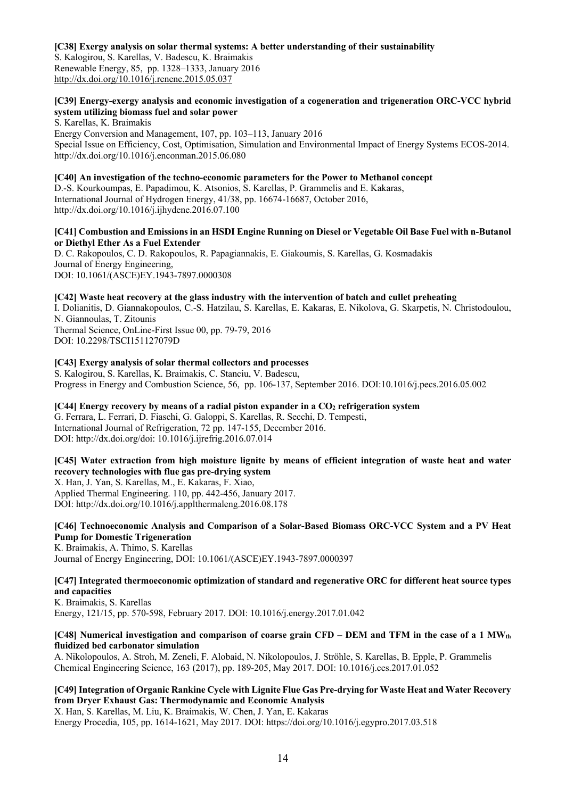#### **[C38] Exergy analysis on solar thermal systems: A better understanding of their sustainability**

S. Kalogirou, S. Karellas, V. Badescu, K. Braimakis Renewable Energy, 85, pp. 1328–1333, January 2016 http://dx.doi.org/10.1016/j.renene.2015.05.037

# **[C39] Energy-exergy analysis and economic investigation of a cogeneration and trigeneration ORC-VCC hybrid system utilizing biomass fuel and solar power**

S. Karellas, K. Braimakis

Energy Conversion and Management, 107, pp. 103–113, January 2016 Special Issue on Efficiency, Cost, Optimisation, Simulation and Environmental Impact of Energy Systems ECOS-2014. http://dx.doi.org/10.1016/j.enconman.2015.06.080

#### **[C40] An investigation of the techno-economic parameters for the Power to Methanol concept**

D.-S. Kourkoumpas, E. Papadimou, K. Atsonios, S. Karellas, P. Grammelis and E. Kakaras, International Journal of Hydrogen Energy, 41/38, pp. 16674-16687, October 2016, http://dx.doi.org/10.1016/j.ijhydene.2016.07.100

#### **[C41] Combustion and Emissions in an HSDI Engine Running on Diesel or Vegetable Oil Base Fuel with n-Butanol or Diethyl Ether As a Fuel Extender**

D. C. Rakopoulos, C. D. Rakopoulos, R. Papagiannakis, E. Giakoumis, S. Karellas, G. Kosmadakis Journal of Energy Engineering, DOI: 10.1061/(ASCE)EY.1943-7897.0000308

# **[C42] Waste heat recovery at the glass industry with the intervention of batch and cullet preheating**

I. Dolianitis, D. Giannakopoulos, C.-S. Hatzilau, S. Karellas, E. Kakaras, E. Nikolova, G. Skarpetis, N. Christodoulou, N. Giannoulas, T. Zitounis Thermal Science, OnLine-First Issue 00, pp. 79-79, 2016

DOI: 10.2298/TSCI151127079D

# **[C43] Exergy analysis of solar thermal collectors and processes**

S. Kalogirou, S. Karellas, K. Braimakis, C. Stanciu, V. Badescu, Progress in Energy and Combustion Science, 56, pp. 106-137, September 2016. DOI:10.1016/j.pecs.2016.05.002

# **[C44] Energy recovery by means of a radial piston expander in a CO2 refrigeration system**

G. Ferrara, L. Ferrari, D. Fiaschi, G. Galoppi, S. Karellas, R. Secchi, D. Tempesti, International Journal of Refrigeration, 72 pp. 147-155, December 2016. DOI: http://dx.doi.org/doi: 10.1016/j.ijrefrig.2016.07.014

# **[C45] Water extraction from high moisture lignite by means of efficient integration of waste heat and water recovery technologies with flue gas pre-drying system**

X. Han, J. Yan, S. Karellas, M., E. Kakaras, F. Xiao, Applied Thermal Engineering. 110, pp. 442-456, January 2017. DOI: http://dx.doi.org/10.1016/j.applthermaleng.2016.08.178

# **[C46] Technoeconomic Analysis and Comparison of a Solar-Based Biomass ORC-VCC System and a PV Heat Pump for Domestic Trigeneration**

K. Braimakis, A. Thimo, S. Karellas Journal of Energy Engineering, DOI: 10.1061/(ASCE)EY.1943-7897.0000397

# **[C47] Integrated thermoeconomic optimization of standard and regenerative ORC for different heat source types and capacities**

K. Braimakis, S. Karellas Energy, 121/15, pp. 570-598, February 2017. DOI: 10.1016/j.energy.2017.01.042

#### **[C48] Numerical investigation and comparison of coarse grain CFD – DEM and TFM in the case of a 1 MWth fluidized bed carbonator simulation**

A. Nikolopoulos, A. Stroh, M. Zeneli, F. Alobaid, N. Nikolopoulos, J. Ströhle, S. Karellas, B. Epple, P. Grammelis Chemical Engineering Science, 163 (2017), pp. 189-205, May 2017. DOI: 10.1016/j.ces.2017.01.052

# **[C49] Integration of Organic Rankine Cycle with Lignite Flue Gas Pre-drying for Waste Heat and Water Recovery from Dryer Exhaust Gas: Thermodynamic and Economic Analysis**

X. Han, S. Karellas, M. Liu, K. Braimakis, W. Chen, J. Yan, E. Kakaras Energy Procedia, 105, pp. 1614-1621, May 2017. DOI: https://doi.org/10.1016/j.egypro.2017.03.518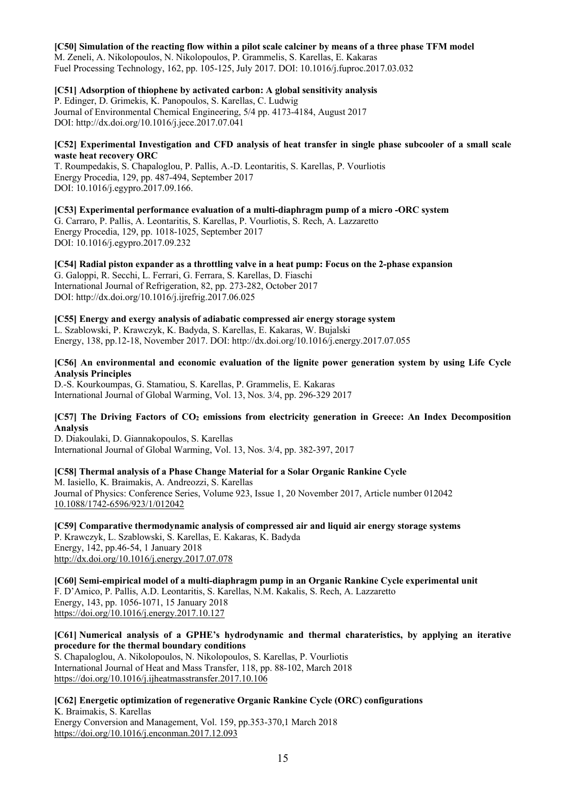#### **[C50] Simulation of the reacting flow within a pilot scale calciner by means of a three phase TFM model**

M. Zeneli, A. Nikolopoulos, N. Nikolopoulos, P. Grammelis, S. Karellas, E. Kakaras Fuel Processing Technology, 162, pp. 105-125, July 2017. DOI: 10.1016/j.fuproc.2017.03.032

# **[C51] Adsorption of thiophene by activated carbon: A global sensitivity analysis**

P. Edinger, D. Grimekis, K. Panopoulos, S. Karellas, C. Ludwig Journal of Environmental Chemical Engineering, 5/4 pp. 4173-4184, August 2017 DOI: http://dx.doi.org/10.1016/j.jece.2017.07.041

#### **[C52] Experimental Investigation and CFD analysis of heat transfer in single phase subcooler of a small scale waste heat recovery ORC**

T. Roumpedakis, S. Chapaloglou, P. Pallis, A.-D. Leontaritis, S. Karellas, P. Vourliotis Energy Procedia, 129, pp. 487-494, September 2017 DOI: 10.1016/j.egypro.2017.09.166.

**[C53] Experimental performance evaluation of a multi-diaphragm pump of a micro -ORC system** G. Carraro, P. Pallis, A. Leontaritis, S. Karellas, P. Vourliotis, S. Rech, A. Lazzaretto Energy Procedia, 129, pp. 1018-1025, September 2017 DOI: 10.1016/j.egypro.2017.09.232

**[C54] Radial piston expander as a throttling valve in a heat pump: Focus on the 2-phase expansion** G. Galoppi, R. Secchi, L. Ferrari, G. Ferrara, S. Karellas, D. Fiaschi International Journal of Refrigeration, 82, pp. 273-282, October 2017 DOI: http://dx.doi.org/10.1016/j.ijrefrig.2017.06.025

# **[C55] Energy and exergy analysis of adiabatic compressed air energy storage system**

L. Szablowski, P. Krawczyk, K. Badyda, S. Karellas, E. Kakaras, W. Bujalski Energy, 138, pp.12-18, November 2017. DOI: http://dx.doi.org/10.1016/j.energy.2017.07.055

# **[C56] An environmental and economic evaluation of the lignite power generation system by using Life Cycle Analysis Principles**

D.-S. Kourkoumpas, G. Stamatiou, S. Karellas, P. Grammelis, E. Kakaras International Journal of Global Warming, Vol. 13, Nos. 3/4, pp. 296-329 2017

# **[C57] The Driving Factors of CO2 emissions from electricity generation in Greece: An Index Decomposition Analysis**

D. Diakoulaki, D. Giannakopoulos, S. Karellas International Journal of Global Warming, Vol. 13, Nos. 3/4, pp. 382-397, 2017

# **[C58] Thermal analysis of a Phase Change Material for a Solar Organic Rankine Cycle**

M. Iasiello, K. Braimakis, A. Andreozzi, S. Karellas Journal of Physics: Conference Series, Volume 923, Issue 1, 20 November 2017, Article number 012042 10.1088/1742-6596/923/1/012042

**[C59] Comparative thermodynamic analysis of compressed air and liquid air energy storage systems** P. Krawczyk, L. Szablowski, S. Karellas, E. Kakaras, K. Badyda Energy, 142, pp.46-54, 1 January 2018 http://dx.doi.org/10.1016/j.energy.2017.07.078

**[C60] Semi-empirical model of a multi-diaphragm pump in an Organic Rankine Cycle experimental unit**  F. D'Amico, P. Pallis, A.D. Leontaritis, S. Karellas, N.M. Kakalis, S. Rech, A. Lazzaretto Energy, 143, pp. 1056-1071, 15 January 2018 https://doi.org/10.1016/j.energy.2017.10.127

# **[C61] Numerical analysis of a GPHE's hydrodynamic and thermal charateristics, by applying an iterative procedure for the thermal boundary conditions**

S. Chapaloglou, A. Nikolopoulos, N. Nikolopoulos, S. Karellas, P. Vourliotis International Journal of Heat and Mass Transfer, 118, pp. 88-102, March 2018 https://doi.org/10.1016/j.ijheatmasstransfer.2017.10.106

#### **[C62] Energetic optimization of regenerative Organic Rankine Cycle (ORC) configurations** K. Braimakis, S. Karellas Energy Conversion and Management, Vol. 159, pp.353-370,1 March 2018 https://doi.org/10.1016/j.enconman.2017.12.093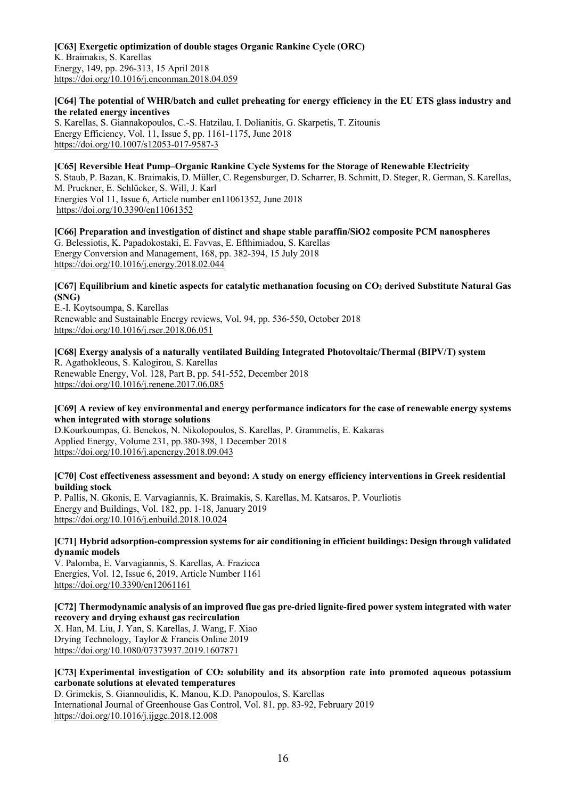#### **[C63] Exergetic optimization of double stages Organic Rankine Cycle (ORC)** K. Braimakis, S. Karellas Energy, 149, pp. 296-313, 15 April 2018 https://doi.org/10.1016/j.enconman.2018.04.059

# **[C64] The potential of WHR/batch and cullet preheating for energy efficiency in the EU ETS glass industry and the related energy incentives**

S. Karellas, S. Giannakopoulos, C.-S. Hatzilau, I. Dolianitis, G. Skarpetis, T. Zitounis Energy Efficiency, Vol. 11, Issue 5, pp. 1161-1175, June 2018 https://doi.org/10.1007/s12053-017-9587-3

# **[C65] Reversible Heat Pump–Organic Rankine Cycle Systems for the Storage of Renewable Electricity**

S. Staub, P. Bazan, K. Braimakis, D. Müller, C. Regensburger, D. Scharrer, B. Schmitt, D. Steger, R. German, S. Karellas, M. Pruckner, E. Schlücker, S. Will, J. Karl

Energies Vol 11, Issue 6, Article number en11061352, June 2018 https://doi.org/10.3390/en11061352

**[C66] Preparation and investigation of distinct and shape stable paraffin/SiO2 composite PCM nanospheres** G. Belessiotis, K. Papadokostaki, E. Favvas, E. Efthimiadou, S. Karellas Energy Conversion and Management, 168, pp. 382-394, 15 July 2018 https://doi.org/10.1016/j.energy.2018.02.044

# **[C67]** Equilibrium and kinetic aspects for catalytic methanation focusing on CO<sub>2</sub> derived Substitute Natural Gas **(SNG)**

E.-I. Koytsoumpa, S. Karellas Renewable and Sustainable Energy reviews, Vol. 94, pp. 536-550, October 2018 https://doi.org/10.1016/j.rser.2018.06.051

**[C68] Exergy analysis of a naturally ventilated Building Integrated Photovoltaic/Thermal (BIPV/T) system** R. Agathokleous, S. Kalogirou, S. Karellas Renewable Energy, Vol. 128, Part B, pp. 541-552, December 2018 https://doi.org/10.1016/j.renene.2017.06.085

#### **[C69] A review of key environmental and energy performance indicators for the case of renewable energy systems when integrated with storage solutions**

D.Kourkoumpas, G. Benekos, N. Nikolopoulos, S. Karellas, P. Grammelis, E. Kakaras Applied Energy, Volume 231, pp.380-398, 1 December 2018 https://doi.org/10.1016/j.apenergy.2018.09.043

# **[C70] Cost effectiveness assessment and beyond: A study on energy efficiency interventions in Greek residential building stock**

P. Pallis, N. Gkonis, E. Varvagiannis, K. Braimakis, S. Karellas, M. Katsaros, P. Vourliotis Energy and Buildings, Vol. 182, pp. 1-18, January 2019 https://doi.org/10.1016/j.enbuild.2018.10.024

# **[C71] Hybrid adsorption-compression systems for air conditioning in efficient buildings: Design through validated dynamic models**

V. Palomba, E. Varvagiannis, S. Karellas, A. Frazicca Energies, Vol. 12, Issue 6, 2019, Article Number 1161 https://doi.org/10.3390/en12061161

# **[C72] Thermodynamic analysis of an improved flue gas pre-dried lignite-fired power system integrated with water recovery and drying exhaust gas recirculation**

X. Han, M. Liu, J. Yan, S. Karellas, J. Wang, F. Xiao Drying Technology, Taylor & Francis Online 2019 https://doi.org/10.1080/07373937.2019.1607871

# **[C73] Experimental investigation of CO2 solubility and its absorption rate into promoted aqueous potassium carbonate solutions at elevated temperatures**

D. Grimekis, S. Giannoulidis, K. Manou, K.D. Panopoulos, S. Karellas International Journal of Greenhouse Gas Control, Vol. 81, pp. 83-92, February 2019 https://doi.org/10.1016/j.ijggc.2018.12.008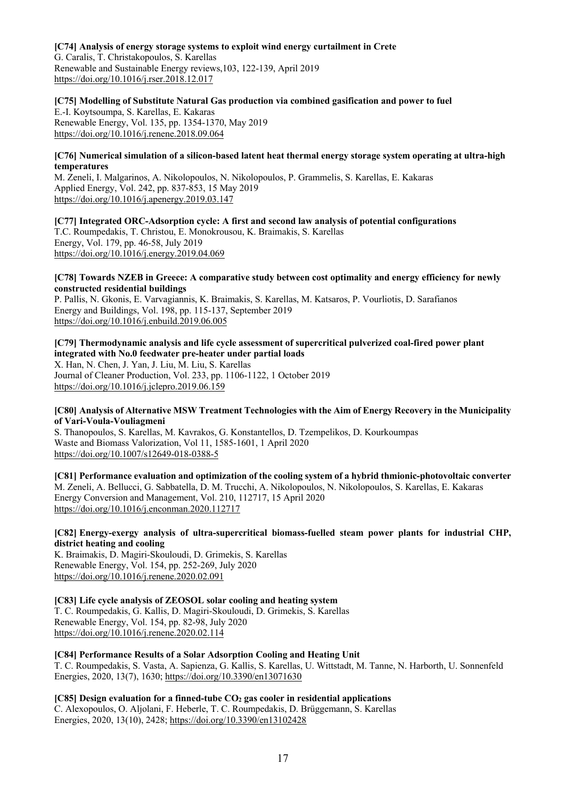### **[C74] Analysis of energy storage systems to exploit wind energy curtailment in Crete**

G. Caralis, T. Christakopoulos, S. Karellas Renewable and Sustainable Energy reviews,103, 122-139, April 2019 https://doi.org/10.1016/j.rser.2018.12.017

# **[C75] Modelling of Substitute Natural Gas production via combined gasification and power to fuel**

E.-I. Koytsoumpa, S. Karellas, E. Kakaras Renewable Energy, Vol. 135, pp. 1354-1370, May 2019 https://doi.org/10.1016/j.renene.2018.09.064

#### **[C76] Numerical simulation of a silicon-based latent heat thermal energy storage system operating at ultra-high temperatures**

M. Zeneli, I. Malgarinos, A. Nikolopoulos, N. Nikolopoulos, P. Grammelis, S. Karellas, E. Kakaras Applied Energy, Vol. 242, pp. 837-853, 15 May 2019 https://doi.org/10.1016/j.apenergy.2019.03.147

**[C77] Integrated ORC-Adsorption cycle: A first and second law analysis of potential configurations** T.C. Roumpedakis, T. Christou, E. Monokrousou, K. Braimakis, S. Karellas Energy, Vol. 179, pp. 46-58, July 2019 https://doi.org/10.1016/j.energy.2019.04.069

#### **[C78] Towards ΝZEB in Greece: A comparative study between cost optimality and energy efficiency for newly constructed residential buildings**

P. Pallis, N. Gkonis, E. Varvagiannis, K. Braimakis, S. Karellas, M. Katsaros, P. Vourliotis, D. Sarafianos Energy and Buildings, Vol. 198, pp. 115-137, September 2019 https://doi.org/10.1016/j.enbuild.2019.06.005

# **[C79] Thermodynamic analysis and life cycle assessment of supercritical pulverized coal-fired power plant integrated with No.0 feedwater pre-heater under partial loads**

X. Han, N. Chen, J. Yan, J. Liu, M. Liu, S. Karellas Journal of Cleaner Production, Vol. 233, pp. 1106-1122, 1 October 2019 https://doi.org/10.1016/j.jclepro.2019.06.159

# **[C80] Analysis of Alternative MSW Treatment Technologies with the Aim of Energy Recovery in the Municipality of Vari-Voula-Vouliagmeni**

S. Thanopoulos, S. Karellas, M. Kavrakos, G. Konstantellos, D. Tzempelikos, D. Kourkoumpas**)** Waste and Biomass Valorization, Vol 11, 1585-1601, 1 April 2020 https://doi.org/10.1007/s12649-018-0388-5

**[C81] Performance evaluation and optimization of the cooling system of a hybrid thmionic-photovoltaic converter** M. Zeneli, A. Bellucci, G. Sabbatella, D. M. Trucchi, A. Nikolopoulos, N. Nikolopoulos, S. Karellas, E. Kakaras Energy Conversion and Management, Vol. 210, 112717, 15 April 2020 https://doi.org/10.1016/j.enconman.2020.112717

# **[C82] Energy-exergy analysis of ultra-supercritical biomass-fuelled steam power plants for industrial CHP, district heating and cooling**

K. Braimakis, D. Magiri-Skouloudi, D. Grimekis, S. Karellas Renewable Energy, Vol. 154, pp. 252-269, July 2020 https://doi.org/10.1016/j.renene.2020.02.091

#### **[C83] Life cycle analysis of ZEOSOL solar cooling and heating system** T. C. Roumpedakis, G. Kallis, D. Magiri-Skouloudi, D. Grimekis, S. Karellas Renewable Energy, Vol. 154, pp. 82-98, July 2020 https://doi.org/10.1016/j.renene.2020.02.114

**[C84] Performance Results of a Solar Adsorption Cooling and Heating Unit**

T. C. Roumpedakis, S. Vasta, A. Sapienza, G. Kallis, S. Karellas, U. Wittstadt, M. Tanne, N. Harborth, U. Sonnenfeld Energies, 2020, 13(7), 1630; https://doi.org/10.3390/en13071630

**[C85] Design evaluation for a finned-tube CO2 gas cooler in residential applications** C. Alexopoulos, O. Aljolani, F. Heberle, T. C. Roumpedakis, D. Brüggemann, S. Karellas Energies, 2020, 13(10), 2428; https://doi.org/10.3390/en13102428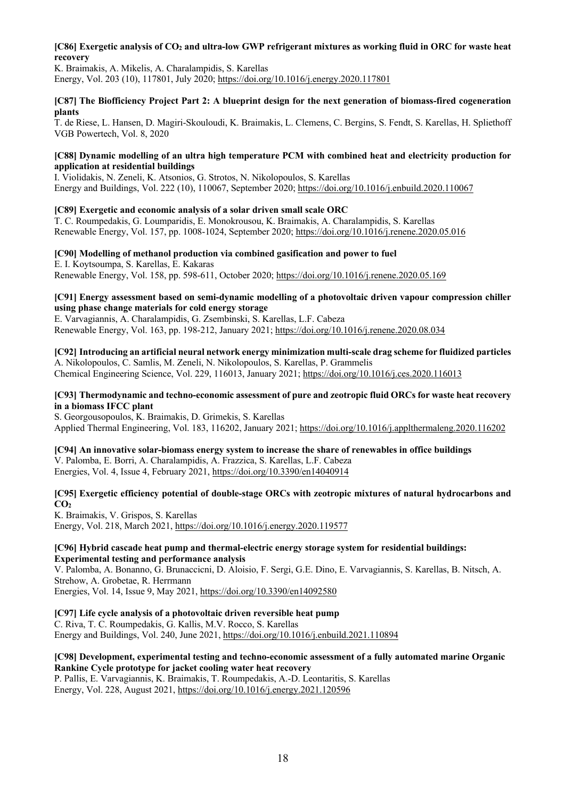# **[C86] Exergetic analysis of CO2 and ultra-low GWP refrigerant mixtures as working fluid in ORC for waste heat recovery**

K. Braimakis, A. Mikelis, A. Charalampidis, S. Karellas Energy, Vol. 203 (10), 117801, July 2020; https://doi.org/10.1016/j.energy.2020.117801

#### **[C87] The Biofficiency Project Part 2: A blueprint design for the next generation of biomass-fired cogeneration plants**

T. de Riese, L. Hansen, D. Magiri-Skouloudi, K. Braimakis, L. Clemens, C. Bergins, S. Fendt, S. Karellas, H. Spliethoff VGB Powertech, Vol. 8, 2020

#### **[C88] Dynamic modelling of an ultra high temperature PCM with combined heat and electricity production for application at residential buildings**

I. Violidakis, N. Zeneli, K. Atsonios, G. Strotos, N. Nikolopoulos, S. Karellas Energy and Buildings, Vol. 222 (10), 110067, September 2020; https://doi.org/10.1016/j.enbuild.2020.110067

# **[C89] Exergetic and economic analysis of a solar driven small scale ORC**

T. C. Roumpedakis, G. Loumparidis, E. Monokrousou, K. Braimakis, A. Charalampidis, S. Karellas Renewable Energy, Vol. 157, pp. 1008-1024, September 2020; https://doi.org/10.1016/j.renene.2020.05.016

#### **[C90] Modelling of methanol production via combined gasification and power to fuel** E. I. Koytsoumpa, S. Karellas, E. Kakaras

Renewable Energy, Vol. 158, pp. 598-611, October 2020; https://doi.org/10.1016/j.renene.2020.05.169

# **[C91] Energy assessment based on semi-dynamic modelling of a photovoltaic driven vapour compression chiller using phase change materials for cold energy storage**

E. Varvagiannis, A. Charalampidis, G. Zsembinski, S. Karellas, L.F. Cabeza Renewable Energy, Vol. 163, pp. 198-212, January 2021; https://doi.org/10.1016/j.renene.2020.08.034

# **[C92] Introducing an artificial neural network energy minimization multi-scale drag scheme for fluidized particles**

A. Nikolopoulos, C. Samlis, M. Zeneli, N. Nikolopoulos, S. Karellas, P. Grammelis Chemical Engineering Science, Vol. 229, 116013, January 2021; https://doi.org/10.1016/j.ces.2020.116013

# **[C93] Thermodynamic and techno-economic assessment of pure and zeotropic fluid ORCs for waste heat recovery in a biomass IFCC plant**

S. Georgousopoulos, K. Braimakis, D. Grimekis, S. Karellas Applied Thermal Engineering, Vol. 183, 116202, January 2021; https://doi.org/10.1016/j.applthermaleng.2020.116202

# **[C94] An innovative solar-biomass energy system to increase the share of renewables in office buildings** V. Palomba, E. Borri, A. Charalampidis, A. Frazzica, S. Karellas, L.F. Cabeza

Energies, Vol. 4, Issue 4, February 2021, https://doi.org/10.3390/en14040914

# **[C95] Exergetic efficiency potential of double-stage ORCs with zeotropic mixtures of natural hydrocarbons and**  CO<sub>2</sub>

K. Braimakis, V. Grispos, S. Karellas Energy, Vol. 218, March 2021, https://doi.org/10.1016/j.energy.2020.119577

#### **[C96] Hybrid cascade heat pump and thermal-electric energy storage system for residential buildings: Experimental testing and performance analysis**

V. Palomba, A. Bonanno, G. Brunaccicni, D. Aloisio, F. Sergi, G.E. Dino, E. Varvagiannis, S. Karellas, B. Nitsch, A. Strehow, A. Grobetae, R. Herrmann

Energies, Vol. 14, Issue 9, May 2021, https://doi.org/10.3390/en14092580

# **[C97] Life cycle analysis of a photovoltaic driven reversible heat pump**

C. Riva, T. C. Roumpedakis, G. Kallis, M.V. Rocco, S. Karellas

Energy and Buildings, Vol. 240, June 2021, https://doi.org/10.1016/j.enbuild.2021.110894

#### **[C98] Development, experimental testing and techno-economic assessment of a fully automated marine Organic Rankine Cycle prototype for jacket cooling water heat recovery**

P. Pallis, E. Varvagiannis, K. Braimakis, T. Roumpedakis, A.-D. Leontaritis, S. Karellas Energy, Vol. 228, August 2021, https://doi.org/10.1016/j.energy.2021.120596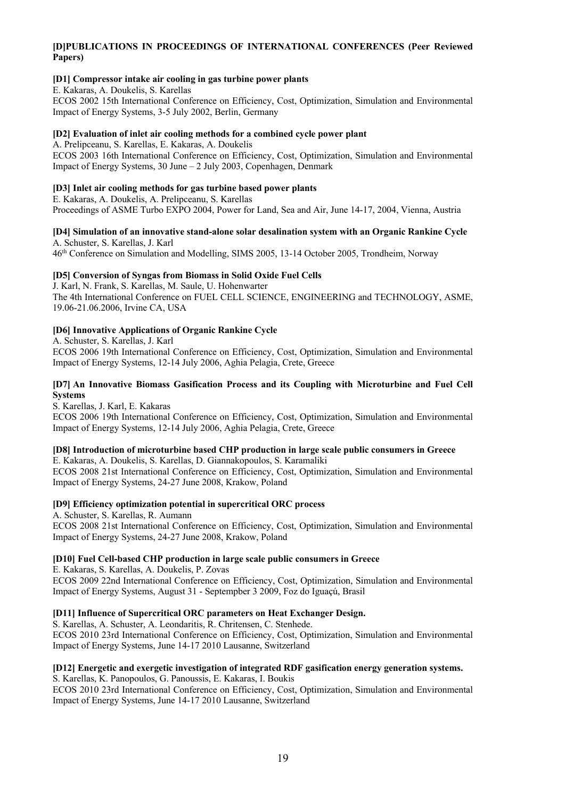# **[D]PUBLICATIONS IN PROCEEDINGS OF INTERNATIONAL CONFERENCES (Peer Reviewed Papers)**

# **[D1] Compressor intake air cooling in gas turbine power plants**

E. Kakaras, A. Doukelis, S. Karellas ECOS 2002 15th International Conference on Efficiency, Cost, Optimization, Simulation and Environmental Impact of Energy Systems, 3-5 July 2002, Berlin, Germany

#### **[D2] Evaluation of inlet air cooling methods for a combined cycle power plant**

A. Prelipceanu, S. Karellas, E. Kakaras, A. Doukelis ECOS 2003 16th International Conference on Efficiency, Cost, Optimization, Simulation and Environmental Impact of Energy Systems, 30 June – 2 July 2003, Copenhagen, Denmark

#### **[D3] Inlet air cooling methods for gas turbine based power plants**

E. Kakaras, A. Doukelis, A. Prelipceanu, S. Karellas Proceedings of ASME Turbo EXPO 2004, Power for Land, Sea and Air, June 14-17, 2004, Vienna, Austria

#### **[D4] Simulation of an innovative stand-alone solar desalination system with an Organic Rankine Cycle** A. Schuster, S. Karellas, J. Karl

46th Conference on Simulation and Modelling, SIMS 2005, 13-14 October 2005, Trondheim, Norway

# **[D5] Conversion of Syngas from Biomass in Solid Oxide Fuel Cells**

J. Karl, N. Frank, S. Karellas, M. Saule, U. Hohenwarter The 4th International Conference on FUEL CELL SCIENCE, ENGINEERING and TECHNOLOGY, ASME, 19.06-21.06.2006, Irvine CA, USA

# **[D6] Innovative Applications of Organic Rankine Cycle**

A. Schuster, S. Karellas, J. Karl ECOS 2006 19th International Conference on Efficiency, Cost, Optimization, Simulation and Environmental Impact of Energy Systems, 12-14 July 2006, Aghia Pelagia, Crete, Greece

# **[D7] An Innovative Biomass Gasification Process and its Coupling with Microturbine and Fuel Cell Systems**

S. Karellas, J. Karl, E. Kakaras

ECOS 2006 19th International Conference on Efficiency, Cost, Optimization, Simulation and Environmental Impact of Energy Systems, 12-14 July 2006, Aghia Pelagia, Crete, Greece

# **[D8] Introduction of microturbine based CHP production in large scale public consumers in Greece**

E. Kakaras, A. Doukelis, S. Karellas, D. Giannakopoulos, S. Karamaliki ECOS 2008 21st International Conference on Efficiency, Cost, Optimization, Simulation and Environmental Impact of Energy Systems, 24-27 June 2008, Krakow, Poland

# **[D9] Efficiency optimization potential in supercritical ORC process**

A. Schuster, S. Karellas, R. Aumann ECOS 2008 21st International Conference on Efficiency, Cost, Optimization, Simulation and Environmental Impact of Energy Systems, 24-27 June 2008, Krakow, Poland

#### **[D10] Fuel Cell-based CHP production in large scale public consumers in Greece**

E. Kakaras, S. Karellas, A. Doukelis, P. Zovas ECOS 2009 22nd International Conference on Efficiency, Cost, Optimization, Simulation and Environmental Impact of Energy Systems, August 31 - Septempber 3 2009, Foz do Iguaçú, Brasil

#### **[D11] Influence of Supercritical ORC parameters on Heat Exchanger Design.**

S. Karellas, A. Schuster, A. Leondaritis, R. Chritensen, C. Stenhede. ECOS 2010 23rd International Conference on Efficiency, Cost, Optimization, Simulation and Environmental Impact of Energy Systems, June 14-17 2010 Lausanne, Switzerland

#### **[D12] Energetic and exergetic investigation of integrated RDF gasification energy generation systems.** S. Karellas, K. Panopoulos, G. Panoussis, E. Kakaras, I. Boukis

ECOS 2010 23rd International Conference on Efficiency, Cost, Optimization, Simulation and Environmental Impact of Energy Systems, June 14-17 2010 Lausanne, Switzerland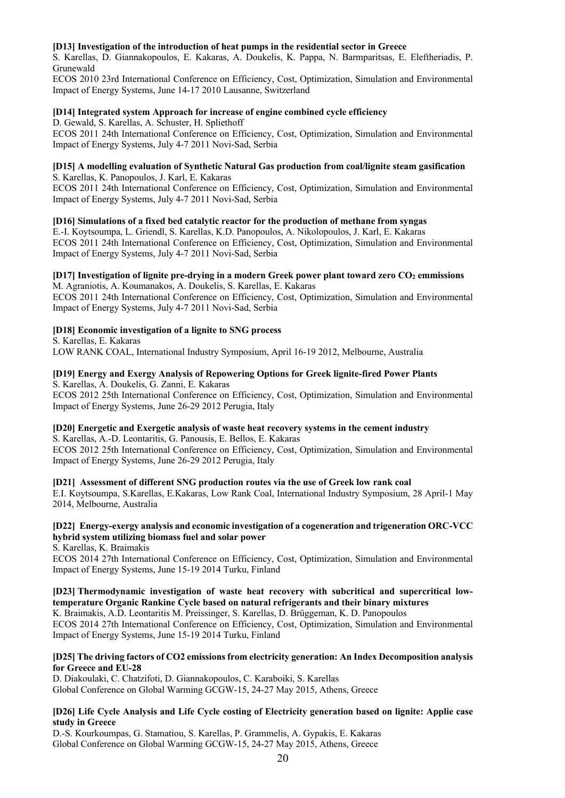#### **[D13] Investigation of the introduction of heat pumps in the residential sector in Greece**

S. Karellas, D. Giannakopoulos, E. Kakaras, A. Doukelis, K. Pappa, N. Barmparitsas, E. Eleftheriadis, P. Grunewald

ECOS 2010 23rd International Conference on Efficiency, Cost, Optimization, Simulation and Environmental Impact of Energy Systems, June 14-17 2010 Lausanne, Switzerland

#### **[D14] Integrated system Approach for increase of engine combined cycle efficiency**

D. Gewald, S. Karellas, A. Schuster, H. Spliethoff ECOS 2011 24th International Conference on Efficiency, Cost, Optimization, Simulation and Environmental Impact of Energy Systems, July 4-7 2011 Novi-Sad, Serbia

# **[D15] A modelling evaluation of Synthetic Natural Gas production from coal/lignite steam gasification**

S. Karellas, K. Panopoulos, J. Karl, E. Kakaras ECOS 2011 24th International Conference on Efficiency, Cost, Optimization, Simulation and Environmental

Impact of Energy Systems, July 4-7 2011 Novi-Sad, Serbia

#### **[D16] Simulations of a fixed bed catalytic reactor for the production of methane from syngas**

E.-I. Koytsoumpa, L. Griendl, S. Karellas, K.D. Panopoulos, A. Nikolopoulos, J. Karl, E. Kakaras ECOS 2011 24th International Conference on Efficiency, Cost, Optimization, Simulation and Environmental Impact of Energy Systems, July 4-7 2011 Novi-Sad, Serbia

# **[D17] Investigation of lignite pre-drying in a modern Greek power plant toward zero CO2 emmissions**

M. Agraniotis, A. Koumanakos, A. Doukelis, S. Karellas, E. Kakaras ECOS 2011 24th International Conference on Efficiency, Cost, Optimization, Simulation and Environmental Impact of Energy Systems, July 4-7 2011 Novi-Sad, Serbia

#### **[D18] Economic investigation of a lignite to SNG process**

S. Karellas, E. Kakaras LOW RANK COAL, International Industry Symposium, April 16-19 2012, Melbourne, Australia

# **[D19] Energy and Exergy Analysis of Repowering Options for Greek lignite-fired Power Plants**

S. Karellas, A. Doukelis, G. Zanni, E. Kakaras ECOS 2012 25th International Conference on Efficiency, Cost, Optimization, Simulation and Environmental Impact of Energy Systems, June 26-29 2012 Perugia, Italy

#### **[D20] Energetic and Exergetic analysis of waste heat recovery systems in the cement industry**

S. Karellas, A.-D. Leontaritis, G. Panousis, E. Bellos, E. Kakaras ECOS 2012 25th International Conference on Efficiency, Cost, Optimization, Simulation and Environmental Impact of Energy Systems, June 26-29 2012 Perugia, Italy

#### **[D21] Assessment of different SNG production routes via the use of Greek low rank coal**

E.I. Koytsoumpa, S.Karellas, E.Kakaras, Low Rank Coal, International Industry Symposium, 28 April-1 May 2014, Melbourne, Australia

# **[D22] Energy-exergy analysis and economic investigation of a cogeneration and trigeneration ORC-VCC hybrid system utilizing biomass fuel and solar power**

S. Karellas, K. Braimakis

ECOS 2014 27th International Conference on Efficiency, Cost, Optimization, Simulation and Environmental Impact of Energy Systems, June 15-19 2014 Turku, Finland

#### **[D23] Thermodynamic investigation of waste heat recovery with subcritical and supercritical lowtemperature Organic Rankine Cycle based on natural refrigerants and their binary mixtures**

K. Braimakis, A.D. Leontaritis M. Preissinger, S. Karellas, D. Brüggeman, K. D. Panopoulos ECOS 2014 27th International Conference on Efficiency, Cost, Optimization, Simulation and Environmental Impact of Energy Systems, June 15-19 2014 Turku, Finland

#### **[D25] The driving factors of CO2 emissions from electricity generation: An Index Decomposition analysis for Greece and EU-28**

D. Diakoulaki, C. Chatzifoti, D. Giannakopoulos, C. Karaboiki, S. Karellas Global Conference on Global Warming GCGW-15, 24-27 May 2015, Athens, Greece

#### **[D26] Life Cycle Analysis and Life Cycle costing of Electricity generation based on lignite: Applie case study in Greece**

D.-S. Kourkoumpas, G. Stamatiou, S. Karellas, P. Grammelis, A. Gypakis, E. Kakaras Global Conference on Global Warming GCGW-15, 24-27 May 2015, Athens, Greece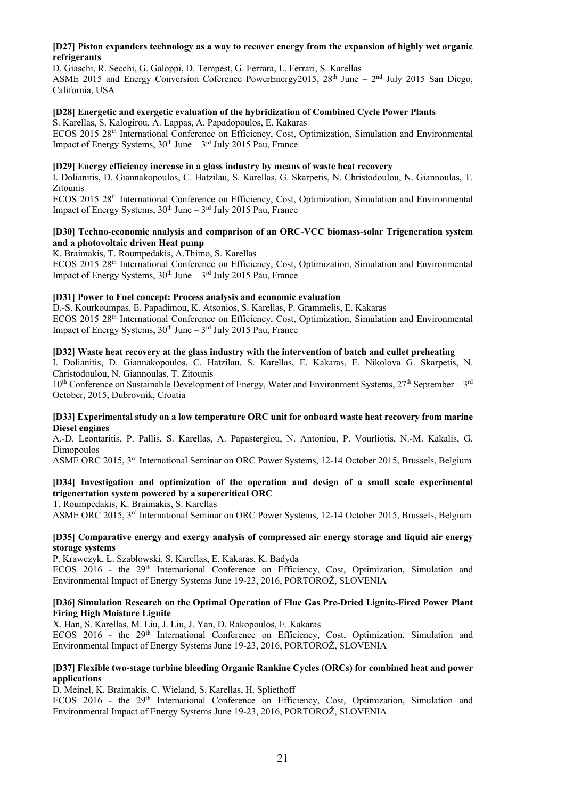#### **[D27] Piston expanders technology as a way to recover energy from the expansion of highly wet organic refrigerants**

D. Giaschi, R. Secchi, G. Galoppi, D. Tempest, G. Ferrara, L. Ferrari, S. Karellas ASME 2015 and Energy Conversion Coference PowerEnergy2015, 28<sup>th</sup> June - 2<sup>nd</sup> July 2015 San Diego. California, USA

# **[D28] Energetic and exergetic evaluation of the hybridization of Combined Cycle Power Plants**

S. Karellas, S. Kalogirou, A. Lappas, A. Papadopoulos, E. Kakaras ECOS 2015 28<sup>th</sup> International Conference on Efficiency, Cost, Optimization, Simulation and Environmental Impact of Energy Systems,  $30<sup>th</sup>$  June –  $3<sup>rd</sup>$  July 2015 Pau, France

#### **[D29] Energy efficiency increase in a glass industry by means of waste heat recovery**

I. Dolianitis, D. Giannakopoulos, C. Hatzilau, S. Karellas, G. Skarpetis, N. Christodoulou, N. Giannoulas, T. Zitounis

ECOS 2015 28th International Conference on Efficiency, Cost, Optimization, Simulation and Environmental Impact of Energy Systems,  $30<sup>th</sup>$  June –  $3<sup>rd</sup>$  July 2015 Pau, France

#### **[D30] Techno-economic analysis and comparison of an ORC-VCC biomass-solar Trigeneration system and a photovoltaic driven Heat pump**

K. Braimakis, T. Roumpedakis, A.Thimo, S. Karellas ECOS 2015 28<sup>th</sup> International Conference on Efficiency, Cost, Optimization, Simulation and Environmental Impact of Energy Systems,  $30^{th}$  June –  $3^{rd}$  July 2015 Pau, France

# **[D31] Power to Fuel concept: Process analysis and economic evaluation**

D.-S. Kourkoumpas, E. Papadimou, K. Atsonios, S. Karellas, P. Grammelis, E. Kakaras ECOS 2015 28th International Conference on Efficiency, Cost, Optimization, Simulation and Environmental Impact of Energy Systems,  $30<sup>th</sup>$  June –  $3<sup>rd</sup>$  July 2015 Pau, France

#### **[D32] Waste heat recovery at the glass industry with the intervention of batch and cullet preheating**

I. Dolianitis, D. Giannakopoulos, C. Hatzilau, S. Karellas, E. Kakaras, E. Nikolova G. Skarpetis, N. Christodoulou, N. Giannoulas, T. Zitounis

10<sup>th</sup> Conference on Sustainable Development of Energy, Water and Environment Systems, 27<sup>th</sup> September – 3<sup>rd</sup> October, 2015, Dubrovnik, Croatia

#### **[D33] Experimental study on a low temperature ORC unit for onboard waste heat recovery from marine Diesel engines**

A.-D. Leontaritis, P. Pallis, S. Karellas, A. Papastergiou, N. Antoniou, P. Vourliotis, N.-M. Kakalis, G. Dimopoulos

ASME ORC 2015, 3rd International Seminar on ORC Power Systems, 12-14 October 2015, Brussels, Belgium

# **[D34] Investigation and optimization of the operation and design of a small scale experimental trigenertation system powered by a supercritical ORC**

T. Roumpedakis, K. Braimakis, S. Karellas

ASME ORC 2015, 3rd International Seminar on ORC Power Systems, 12-14 October 2015, Brussels, Belgium

#### **[D35] Comparative energy and exergy analysis of compressed air energy storage and liquid air energy storage systems**

P. Krawczyk, Ł. Szabłowski, S. Karellas, E. Kakaras, K. Badyda ECOS 2016 - the 29<sup>th</sup> International Conference on Efficiency, Cost, Optimization, Simulation and Environmental Impact of Energy Systems June 19-23, 2016, PORTOROŽ, SLOVENIA

#### **[D36] Simulation Research on the Optimal Operation of Flue Gas Pre-Dried Lignite-Fired Power Plant Firing High Moisture Lignite**

X. Han, S. Karellas, M. Liu, J. Liu, J. Yan, D. Rakopoulos, E. Kakaras

ECOS 2016 - the 29<sup>th</sup> International Conference on Efficiency, Cost, Optimization, Simulation and Environmental Impact of Energy Systems June 19-23, 2016, PORTOROŽ, SLOVENIA

#### **[D37] Flexible two-stage turbine bleeding Organic Rankine Cycles (ORCs) for combined heat and power applications**

D. Meinel, K. Braimakis, C. Wieland, S. Karellas, H. Spliethoff

ECOS 2016 - the 29<sup>th</sup> International Conference on Efficiency, Cost, Optimization, Simulation and Environmental Impact of Energy Systems June 19-23, 2016, PORTOROŽ, SLOVENIA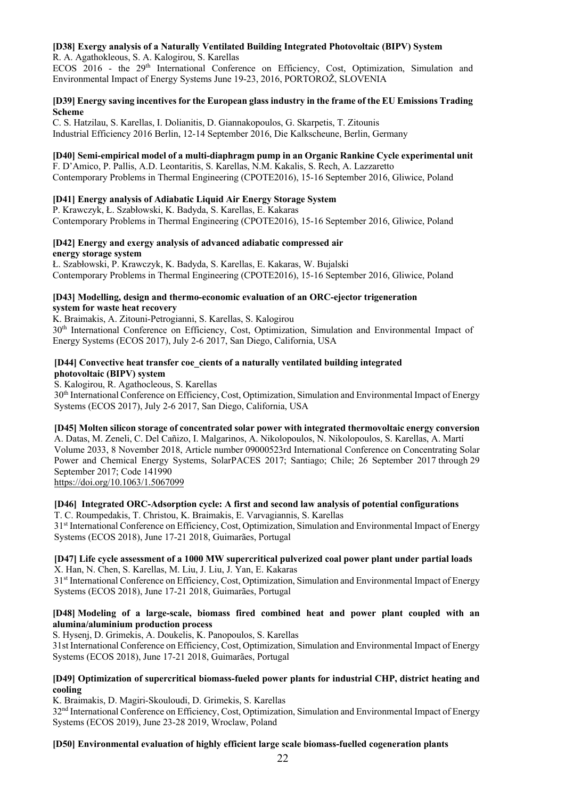# **[D38] Exergy analysis of a Naturally Ventilated Building Integrated Photovoltaic (BIPV) System**

R. A. Agathokleous, S. A. Kalogirou, S. Karellas

ECOS 2016 - the 29<sup>th</sup> International Conference on Efficiency, Cost, Optimization, Simulation and Environmental Impact of Energy Systems June 19-23, 2016, PORTOROŽ, SLOVENIA

## **[D39] Energy saving incentives for the European glass industry in the frame of the EU Emissions Trading Scheme**

C. S. Hatzilau, S. Karellas, I. Dolianitis, D. Giannakopoulos, G. Skarpetis, T. Zitounis Industrial Efficiency 2016 Berlin, 12-14 September 2016, Die Kalkscheune, Berlin, Germany

# **[D40] Semi-empirical model of a multi-diaphragm pump in an Organic Rankine Cycle experimental unit**

F. D'Amico, P. Pallis, A.D. Leontaritis, S. Karellas, N.M. Kakalis, S. Rech, A. Lazzaretto Contemporary Problems in Thermal Engineering (CPOTE2016), 15-16 September 2016, Gliwice, Poland

# **[D41] Energy analysis of Adiabatic Liquid Air Energy Storage System**

P. Krawczyk, Ł. Szabłowski, K. Badyda, S. Karellas, E. Kakaras Contemporary Problems in Thermal Engineering (CPOTE2016), 15-16 September 2016, Gliwice, Poland

# **[D42] Energy and exergy analysis of advanced adiabatic compressed air energy storage system**

Ł. Szabłowski, P. Krawczyk, K. Badyda, S. Karellas, E. Kakaras, W. Bujalski Contemporary Problems in Thermal Engineering (CPOTE2016), 15-16 September 2016, Gliwice, Poland

#### **[D43] Modelling, design and thermo-economic evaluation of an ORC-ejector trigeneration system for waste heat recovery**

K. Braimakis, A. Zitouni-Petrogianni, S. Karellas, S. Kalogirou

30th International Conference on Efficiency, Cost, Optimization, Simulation and Environmental Impact of Energy Systems (ECOS 2017), July 2-6 2017, San Diego, California, USA

#### **[D44] Convective heat transfer coe\_cients of a naturally ventilated building integrated photovoltaic (BIPV) system**

S. Kalogirou, R. Agathocleous, S. Karellas

30th International Conference on Efficiency, Cost, Optimization, Simulation and Environmental Impact of Energy Systems (ECOS 2017), July 2-6 2017, San Diego, California, USA

# **[D45] Molten silicon storage of concentrated solar power with integrated thermovoltaic energy conversion**

A. Datas, M. Zeneli, C. Del Cañizo, I. Malgarinos, A. Nikolopoulos, N. Nikolopoulos, S. Karellas, A. Martí Volume 2033, 8 November 2018, Article number 09000523rd International Conference on Concentrating Solar Power and Chemical Energy Systems, SolarPACES 2017; Santiago; Chile; 26 September 2017 through 29 September 2017; Code 141990

https://doi.org/10.1063/1.5067099

# **[D46] Integrated ORC-Adsorption cycle: A first and second law analysis of potential configurations**

T. C. Roumpedakis, T. Christou, K. Braimakis, E. Varvagiannis, S. Karellas 31st International Conference on Efficiency, Cost, Optimization, Simulation and Environmental Impact of Energy Systems (ECOS 2018), June 17-21 2018, Guimarães, Portugal

#### **[D47] Life cycle assessment of a 1000 MW supercritical pulverized coal power plant under partial loads**  X. Han, N. Chen, S. Karellas, M. Liu, J. Liu, J. Yan, E. Kakaras

31<sup>st</sup> International Conference on Efficiency, Cost, Optimization, Simulation and Environmental Impact of Energy Systems (ECOS 2018), June 17-21 2018, Guimarães, Portugal

# **[D48] Modeling of a large-scale, biomass fired combined heat and power plant coupled with an alumina/aluminium production process**

S. Hysenj, D. Grimekis, A. Doukelis, K. Panopoulos, S. Karellas 31st International Conference on Efficiency, Cost, Optimization, Simulation and Environmental Impact of Energy Systems (ECOS 2018), June 17-21 2018, Guimarães, Portugal

# **[D49] Optimization of supercritical biomass-fueled power plants for industrial CHP, district heating and cooling**

K. Braimakis, D. Magiri-Skouloudi, D. Grimekis, S. Karellas 32nd International Conference on Efficiency, Cost, Optimization, Simulation and Environmental Impact of Energy Systems (ECOS 2019), June 23-28 2019, Wroclaw, Poland

# **[D50] Environmental evaluation of highly efficient large scale biomass-fuelled cogeneration plants**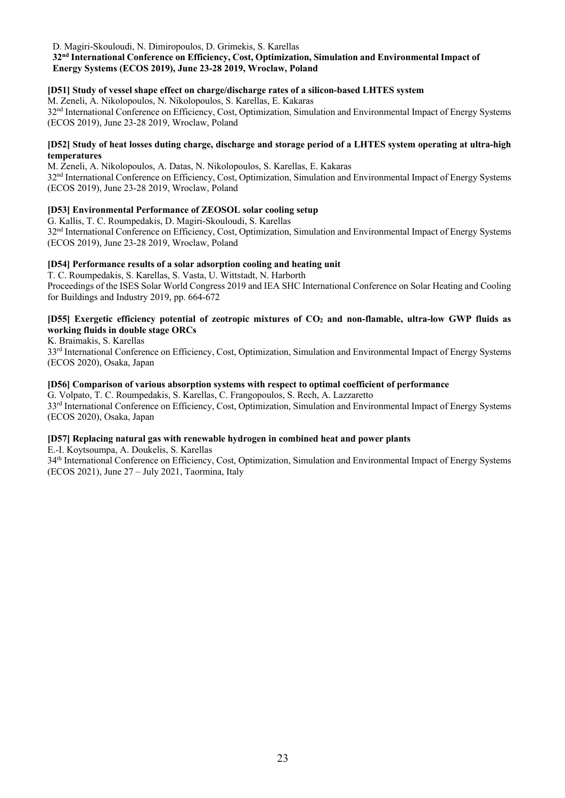#### D. Magiri-Skouloudi, N. Dimiropoulos, D. Grimekis, S. Karellas **32nd International Conference on Efficiency, Cost, Optimization, Simulation and Environmental Impact of Energy Systems (ECOS 2019), June 23-28 2019, Wroclaw, Poland**

# **[D51] Study of vessel shape effect on charge/discharge rates of a silicon-based LHTES system**

M. Zeneli, A. Nikolopoulos, N. Nikolopoulos, S. Karellas, E. Kakaras 32nd International Conference on Efficiency, Cost, Optimization, Simulation and Environmental Impact of Energy Systems (ECOS 2019), June 23-28 2019, Wroclaw, Poland

#### **[D52] Study of heat losses duting charge, discharge and storage period of a LHTES system operating at ultra-high temperatures**

M. Zeneli, A. Nikolopoulos, A. Datas, N. Nikolopoulos, S. Karellas, E. Kakaras 32<sup>nd</sup> International Conference on Efficiency, Cost, Optimization, Simulation and Environmental Impact of Energy Systems (ECOS 2019), June 23-28 2019, Wroclaw, Poland

# **[D53] Environmental Performance of ZEOSOL solar cooling setup**

G. Kallis, T. C. Roumpedakis, D. Magiri-Skouloudi, S. Karellas 32<sup>nd</sup> International Conference on Efficiency, Cost, Optimization, Simulation and Environmental Impact of Energy Systems (ECOS 2019), June 23-28 2019, Wroclaw, Poland

# **[D54] Performance results of a solar adsorption cooling and heating unit**

T. C. Roumpedakis, S. Karellas, S. Vasta, U. Wittstadt, N. Harborth Proceedings of the ISES Solar World Congress 2019 and IEA SHC International Conference on Solar Heating and Cooling for Buildings and Industry 2019, pp. 664-672

# **[D55] Exergetic efficiency potential of zeotropic mixtures of CO2 and non-flamable, ultra-low GWP fluids as working fluids in double stage ORCs**

K. Braimakis, S. Karellas

33<sup>rd</sup> International Conference on Efficiency, Cost, Optimization, Simulation and Environmental Impact of Energy Systems (ECOS 2020), Osaka, Japan

# **[D56] Comparison of various absorption systems with respect to optimal coefficient of performance**

G. Volpato, T. C. Roumpedakis, S. Karellas, C. Frangopoulos, S. Rech, A. Lazzaretto 33<sup>rd</sup> International Conference on Efficiency, Cost, Optimization, Simulation and Environmental Impact of Energy Systems (ECOS 2020), Osaka, Japan

# **[D57] Replacing natural gas with renewable hydrogen in combined heat and power plants**

E.-I. Koytsoumpa, A. Doukelis, S. Karellas

34th International Conference on Efficiency, Cost, Optimization, Simulation and Environmental Impact of Energy Systems (ECOS 2021), June 27 – July 2021, Taormina, Italy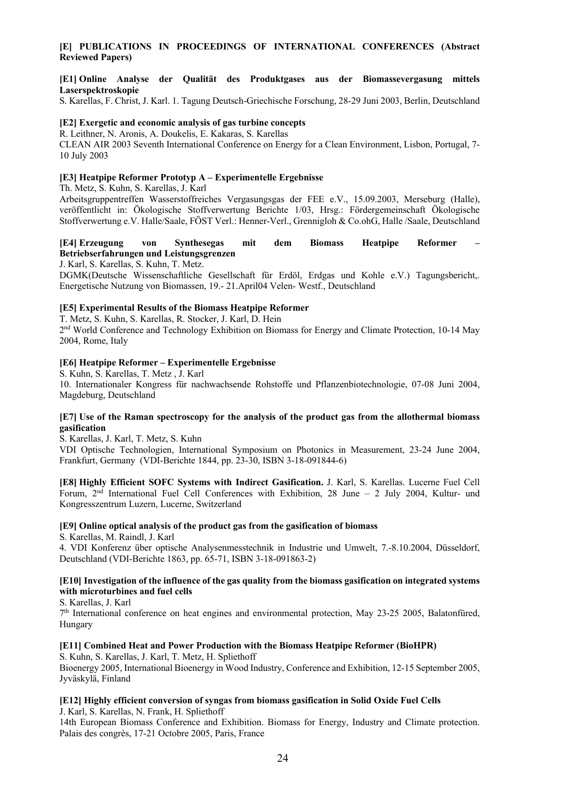# **[E] PUBLICATIONS IN PROCEEDINGS OF INTERNATIONAL CONFERENCES (Abstract Reviewed Papers)**

#### **[E1] Online Analyse der Qualität des Produktgases aus der Biomassevergasung mittels Laserspektroskopie**

S. Karellas, F. Christ, J. Karl. 1. Tagung Deutsch-Griechische Forschung, 28-29 Juni 2003, Berlin, Deutschland

#### **[E2] Exergetic and economic analysis of gas turbine concepts**

R. Leithner, N. Aronis, A. Doukelis, E. Kakaras, S. Karellas

CLEAN AIR 2003 Seventh International Conference on Energy for a Clean Environment, Lisbon, Portugal, 7- 10 July 2003

#### **[E3] Heatpipe Reformer Prototyp A – Experimentelle Ergebnisse**

Th. Metz, S. Kuhn, S. Karellas, J. Karl

Arbeitsgruppentreffen Wasserstoffreiches Vergasungsgas der FEE e.V., 15.09.2003, Merseburg (Halle), veröffentlicht in: Ökologische Stoffverwertung Berichte 1/03, Hrsg.: Fördergemeinschaft Ökologische Stoffverwertung e.V. Halle/Saale, FÖST Verl.: Henner-Verl., Grennigloh & Co.ohG, Halle /Saale, Deutschland

#### **[E4] Erzeugung von Synthesegas mit dem Biomass Heatpipe Reformer – Betriebserfahrungen und Leistungsgrenzen**

J. Karl, S. Karellas, S. Kuhn, T. Metz.

DGMK(Deutsche Wissenschaftliche Gesellschaft für Erdöl, Erdgas und Kohle e.V.) Tagungsbericht,. Energetische Nutzung von Biomassen, 19.- 21.April04 Velen- Westf., Deutschland

#### **[E5] Experimental Results of the Biomass Heatpipe Reformer**

T. Metz, S. Kuhn, S. Karellas, R. Stocker, J. Karl, D. Hein

2nd World Conference and Technology Exhibition on Biomass for Energy and Climate Protection, 10-14 May 2004, Rome, Italy

#### **[E6] Heatpipe Reformer – Experimentelle Ergebnisse**

S. Kuhn, S. Karellas, T. Metz , J. Karl 10. Internationaler Kongress für nachwachsende Rohstoffe und Pflanzenbiotechnologie, 07-08 Juni 2004, Magdeburg, Deutschland

#### **[E7] Use of the Raman spectroscopy for the analysis of the product gas from the allothermal biomass gasification**

S. Karellas, J. Karl, T. Metz, S. Kuhn

VDI Optische Technologien, International Symposium on Photonics in Measurement, 23-24 June 2004, Frankfurt, Germany (VDI-Berichte 1844, pp. 23-30, ISBN 3-18-091844-6)

**[E8] Highly Efficient SOFC Systems with Indirect Gasification.** J. Karl, S. Karellas. Lucerne Fuel Cell Forum, 2<sup>nd</sup> International Fuel Cell Conferences with Exhibition, 28 June – 2 July 2004, Kultur- und Kongresszentrum Luzern, Lucerne, Switzerland

#### **[E9] Online optical analysis of the product gas from the gasification of biomass**

S. Karellas, M. Raindl, J. Karl

4. VDI Konferenz über optische Analysenmesstechnik in Industrie und Umwelt, 7.-8.10.2004, Düsseldorf, Deutschland (VDI-Berichte 1863, pp. 65-71, ISBN 3-18-091863-2)

#### **[E10] Investigation of the influence of the gas quality from the biomass gasification on integrated systems with microturbines and fuel cells**

S. Karellas, J. Karl

7th International conference on heat engines and environmental protection, May 23-25 2005, Balatonfüred, Hungary

#### **[E11] Combined Heat and Power Production with the Biomass Heatpipe Reformer (BioHPR)**

S. Kuhn, S. Karellas, J. Karl, T. Metz, H. Spliethoff Bioenergy 2005, International Bioenergy in Wood Industry, Conference and Exhibition, 12-15 September 2005, Jyväskylä, Finland

#### **[E12] Highly efficient conversion of syngas from biomass gasification in Solid Oxide Fuel Cells** J. Karl, S. Karellas, N. Frank, H. Spliethoff

14th European Biomass Conference and Exhibition. Biomass for Energy, Industry and Climate protection. Palais des congrès, 17-21 Octobre 2005, Paris, France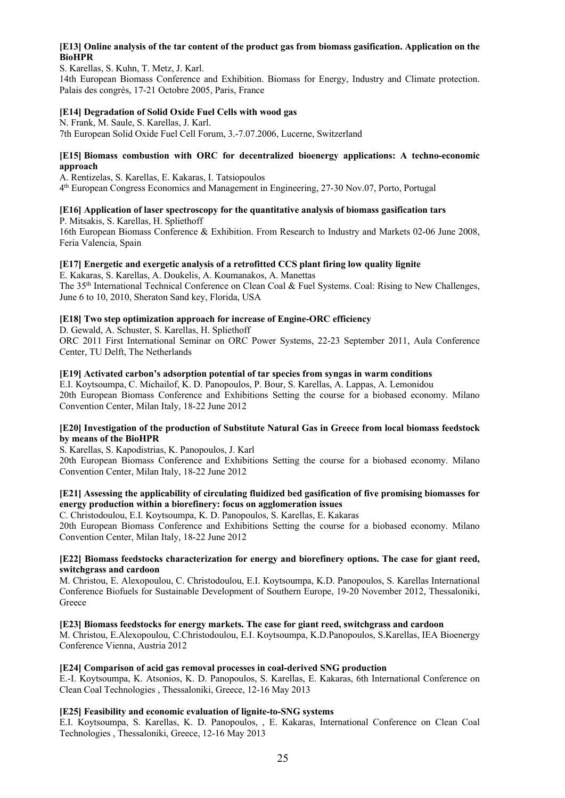# **[E13] Online analysis of the tar content of the product gas from biomass gasification. Application on the BioHPR**

S. Karellas, S. Kuhn, T. Metz, J. Karl. 14th European Biomass Conference and Exhibition. Biomass for Energy, Industry and Climate protection. Palais des congrès, 17-21 Octobre 2005, Paris, France

#### **[E14] Degradation of Solid Oxide Fuel Cells with wood gas**

N. Frank, M. Saule, S. Karellas, J. Karl. 7th European Solid Oxide Fuel Cell Forum, 3.-7.07.2006, Lucerne, Switzerland

#### **[E15] Biomass combustion with ORC for decentralized bioenergy applications: A techno-economic approach**

A. Rentizelas, S. Karellas, E. Kakaras, I. Tatsiopoulos 4th European Congress Economics and Management in Engineering, 27-30 Nov.07, Porto, Portugal

# **[E16] Application of laser spectroscopy for the quantitative analysis of biomass gasification tars**

P. Mitsakis, S. Karellas, H. Spliethoff 16th European Biomass Conference & Exhibition. From Research to Industry and Markets 02-06 June 2008, Feria Valencia, Spain

# **[E17] Energetic and exergetic analysis of a retrofitted CCS plant firing low quality lignite**

E. Kakaras, S. Karellas, A. Doukelis, A. Koumanakos, A. Manettas The 35th International Technical Conference on Clean Coal & Fuel Systems. Coal: Rising to New Challenges, June 6 to 10, 2010, Sheraton Sand key, Florida, USA

# **[E18] Two step optimization approach for increase of Engine-ORC efficiency**

D. Gewald, A. Schuster, S. Karellas, H. Spliethoff

ORC 2011 First International Seminar on ORC Power Systems, 22-23 September 2011, Aula Conference Center, TU Delft, The Netherlands

# **[E19] Activated carbon's adsorption potential of tar species from syngas in warm conditions**

E.I. Koytsoumpa, C. Michailof, K. D. Panopoulos, P. Bour, S. Karellas, A. Lappas, A. Lemonidou 20th European Biomass Conference and Exhibitions Setting the course for a biobased economy. Milano Convention Center, Milan Italy, 18-22 June 2012

#### **[E20] Investigation of the production of Substitute Natural Gas in Greece from local biomass feedstock by means of the BioHPR**

S. Karellas, S. Kapodistrias, K. Panopoulos, J. Karl

20th European Biomass Conference and Exhibitions Setting the course for a biobased economy. Milano Convention Center, Milan Italy, 18-22 June 2012

#### **[E21] Assessing the applicability of circulating fluidized bed gasification of five promising biomasses for energy production within a biorefinery: focus on agglomeration issues**

C. Christodoulou, E.I. Koytsoumpa, K. D. Panopoulos, S. Karellas, E. Kakaras 20th European Biomass Conference and Exhibitions Setting the course for a biobased economy. Milano Convention Center, Milan Italy, 18-22 June 2012

#### **[Ε22] Biomass feedstocks characterization for energy and biorefinery options. The case for giant reed, switchgrass and cardoon**

M. Christou, E. Alexopoulou, C. Christodoulou, E.I. Koytsoumpa, K.D. Panopoulos, S. Karellas International Conference Biofuels for Sustainable Development of Southern Europe, 19-20 November 2012, Thessaloniki, **Greece** 

**[E23] Biomass feedstocks for energy markets. The case for giant reed, switchgrass and cardoon**  M. Christou, E.Alexopoulou, C.Christodoulou, E.I. Koytsoumpa, K.D.Panopoulos, S.Karellas, IEA Bioenergy Conference Vienna, Austria 2012

#### **[E24] Comparison of acid gas removal processes in coal-derived SNG production**

E.-I. Koytsoumpa, K. Atsonios, K. D. Panopoulos, S. Karellas, E. Kakaras, 6th International Conference on Clean Coal Technologies , Thessaloniki, Greece, 12-16 May 2013

#### **[E25] Feasibility and economic evaluation of lignite-to-SNG systems**

E.I. Koytsoumpa, S. Karellas, K. D. Panopoulos, , E. Kakaras, International Conference on Clean Coal Technologies , Thessaloniki, Greece, 12-16 May 2013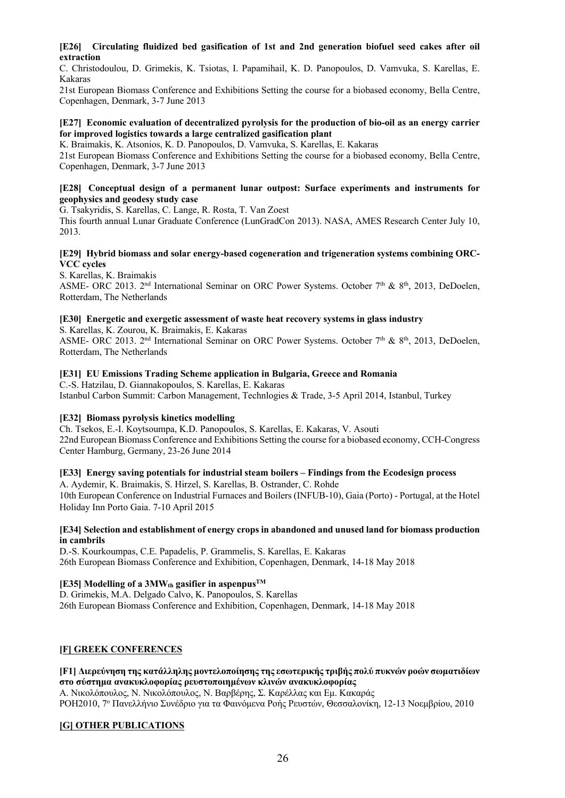### **[E26] Circulating fluidized bed gasification of 1st and 2nd generation biofuel seed cakes after oil extraction**

C. Christodoulou, D. Grimekis, K. Tsiotas, I. Papamihail, K. D. Panopoulos, D. Vamvuka, S. Karellas, E. Kakaras

21st European Biomass Conference and Exhibitions Setting the course for a biobased economy, Bella Centre, Copenhagen, Denmark, 3-7 June 2013

#### **[E27] Economic evaluation of decentralized pyrolysis for the production of bio-oil as an energy carrier for improved logistics towards a large centralized gasification plant**

K. Braimakis, K. Atsonios, K. D. Panopoulos, D. Vamvuka, S. Karellas, E. Kakaras

21st European Biomass Conference and Exhibitions Setting the course for a biobased economy, Bella Centre, Copenhagen, Denmark, 3-7 June 2013

#### **[E28] Conceptual design of a permanent lunar outpost: Surface experiments and instruments for geophysics and geodesy study case**

G. Tsakyridis, S. Karellas, C. Lange, R. Rosta, T. Van Zoest

This fourth annual Lunar Graduate Conference (LunGradCon 2013). NASA, AMES Research Center July 10, 2013.

#### **[E29] Hybrid biomass and solar energy-based cogeneration and trigeneration systems combining ORC-VCC cycles**

S. Karellas, K. Braimakis

ASME- ORC 2013. 2<sup>nd</sup> International Seminar on ORC Power Systems. October 7<sup>th</sup> & 8<sup>th</sup>, 2013, DeDoelen, Rotterdam, The Netherlands

# **[E30] Energetic and exergetic assessment of waste heat recovery systems in glass industry**

S. Karellas, K. Zourou, K. Braimakis, E. Kakaras

ASME- ORC 2013. 2<sup>nd</sup> International Seminar on ORC Power Systems. October 7<sup>th</sup> & 8<sup>th</sup>, 2013, DeDoelen, Rotterdam, The Netherlands

#### **[E31] EU Emissions Trading Scheme application in Bulgaria, Greece and Romania**

C.-S. Hatzilau, D. Giannakopoulos, S. Karellas, E. Kakaras Istanbul Carbon Summit: Carbon Management, Technlogies & Trade, 3-5 April 2014, Istanbul, Turkey

# **[E32] Biomass pyrolysis kinetics modelling**

Ch. Tsekos, E.-I. Koytsoumpa, K.D. Panopoulos, S. Karellas, E. Kakaras, V. Asouti 22nd European Biomass Conference and Exhibitions Setting the course for a biobased economy, CCH-Congress Center Hamburg, Germany, 23-26 June 2014

#### **[E33] Energy saving potentials for industrial steam boilers – Findings from the Ecodesign process**

A. Aydemir, K. Braimakis, S. Hirzel, S. Karellas, B. Ostrander, C. Rohde 10th European Conference on Industrial Furnaces and Boilers (INFUB-10), Gaia (Porto) - Portugal, at the Hotel Holiday Inn Porto Gaia. 7-10 April 2015

#### **[E34] Selection and establishment of energy crops in abandoned and unused land for biomass production in cambrils**

D.-S. Kourkoumpas, C.E. Papadelis, P. Grammelis, S. Karellas, E. Kakaras 26th European Biomass Conference and Exhibition, Copenhagen, Denmark, 14-18 May 2018

# **[E35] Modelling of a 3MW**th **gasifier in aspenpus**<sup>TM</sup>

D. Grimekis, M.A. Delgado Calvo, K. Panopoulos, S. Karellas 26th European Biomass Conference and Exhibition, Copenhagen, Denmark, 14-18 May 2018

# **[F] GREEK CONFERENCES**

#### **[F1] Διερεύνηση της κατάλληλης μοντελοποίησης της εσωτερικής τριβής πολύ πυκνών ροών σωματιδίων στο σύστημα ανακυκλοφορίας ρευστοποιημένων κλινών ανακυκλοφορίας**

Α. Νικολόπουλος, Ν. Νικολόπουλος, Ν. Βαρβέρης, Σ. Καρέλλας και Εμ. Κακαράς ΡΟΗ2010, 7ο Πανελλήνιο Συνέδριο για τα Φαινόμενα Ροής Ρευστών, Θεσσαλονίκη, 12-13 Νοεμβρίου, 2010

# **[G] OTHER PUBLICATIONS**